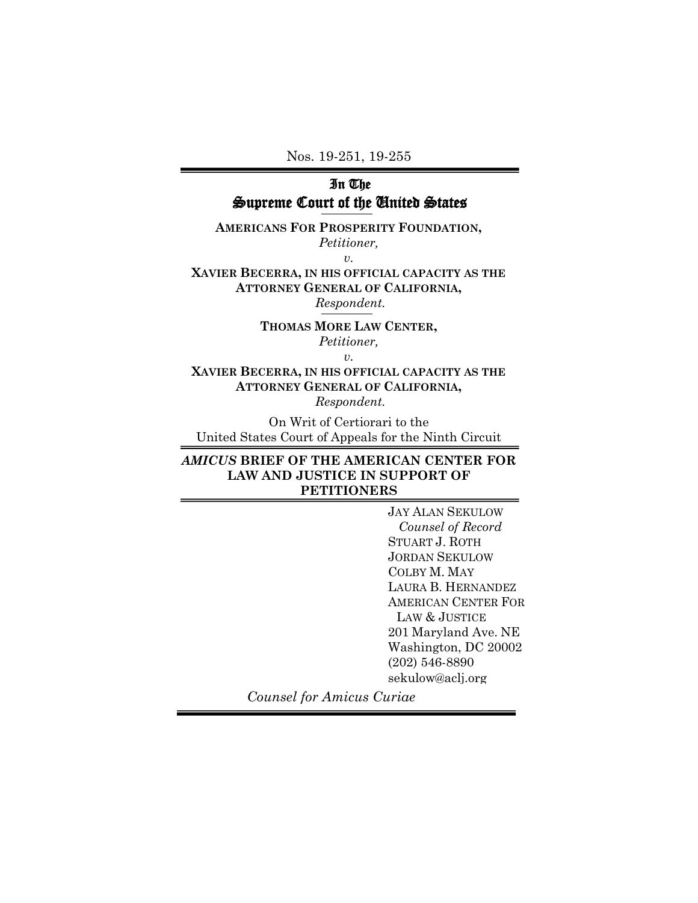Nos. 19-251, 19-255

## In The Supreme Court of the United States

**AMERICANS FOR PROSPERITY FOUNDATION,** *Petitioner,*

*v.*

**XAVIER BECERRA, IN HIS OFFICIAL CAPACITY AS THE ATTORNEY GENERAL OF CALIFORNIA,** *Respondent.*

> **THOMAS MORE LAW CENTER,**  *Petitioner,*

> > *v.*

**XAVIER BECERRA, IN HIS OFFICIAL CAPACITY AS THE ATTORNEY GENERAL OF CALIFORNIA,** *Respondent.*

On Writ of Certiorari to the United States Court of Appeals for the Ninth Circuit

## *AMICUS* **BRIEF OF THE AMERICAN CENTER FOR LAW AND JUSTICE IN SUPPORT OF PETITIONERS**

JAY ALAN SEKULOW  *Counsel of Record* STUART J. ROTH JORDAN SEKULOW COLBY M. MAY LAURA B. HERNANDEZ AMERICAN CENTER FOR LAW & JUSTICE 201 Maryland Ave. NE Washington, DC 20002 (202) 546-8890 sekulow@aclj.org

*Counsel for Amicus Curiae*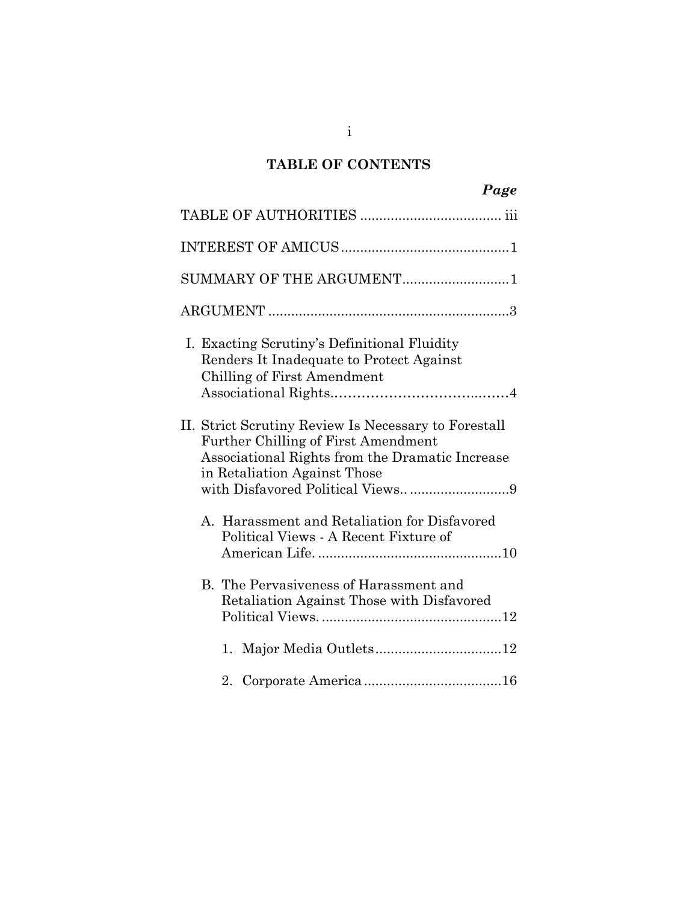# **TABLE OF CONTENTS**

| Page                                                                                                                                                                                                                      |
|---------------------------------------------------------------------------------------------------------------------------------------------------------------------------------------------------------------------------|
|                                                                                                                                                                                                                           |
|                                                                                                                                                                                                                           |
| SUMMARY OF THE ARGUMENT1                                                                                                                                                                                                  |
|                                                                                                                                                                                                                           |
| I. Exacting Scrutiny's Definitional Fluidity<br>Renders It Inadequate to Protect Against<br>Chilling of First Amendment                                                                                                   |
| II. Strict Scrutiny Review Is Necessary to Forestall<br><b>Further Chilling of First Amendment</b><br>Associational Rights from the Dramatic Increase<br>in Retaliation Against Those<br>with Disfavored Political Views9 |
| A. Harassment and Retaliation for Disfavored<br>Political Views - A Recent Fixture of                                                                                                                                     |
| B. The Pervasiveness of Harassment and<br>Retaliation Against Those with Disfavored                                                                                                                                       |
| Major Media Outlets12<br>1.                                                                                                                                                                                               |
| $2_{-}$                                                                                                                                                                                                                   |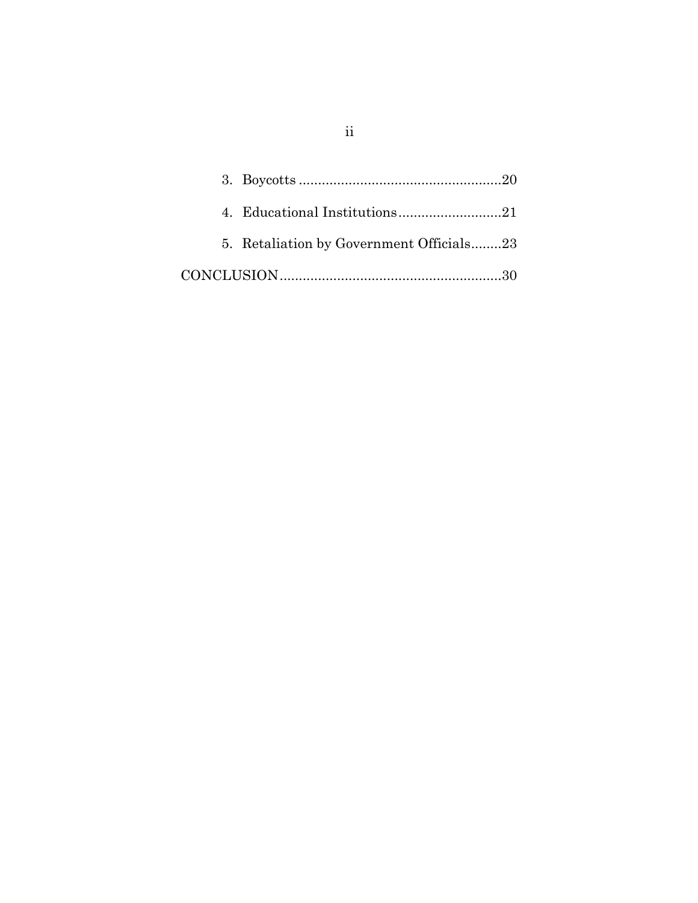| 5. Retaliation by Government Officials23 |  |
|------------------------------------------|--|
|                                          |  |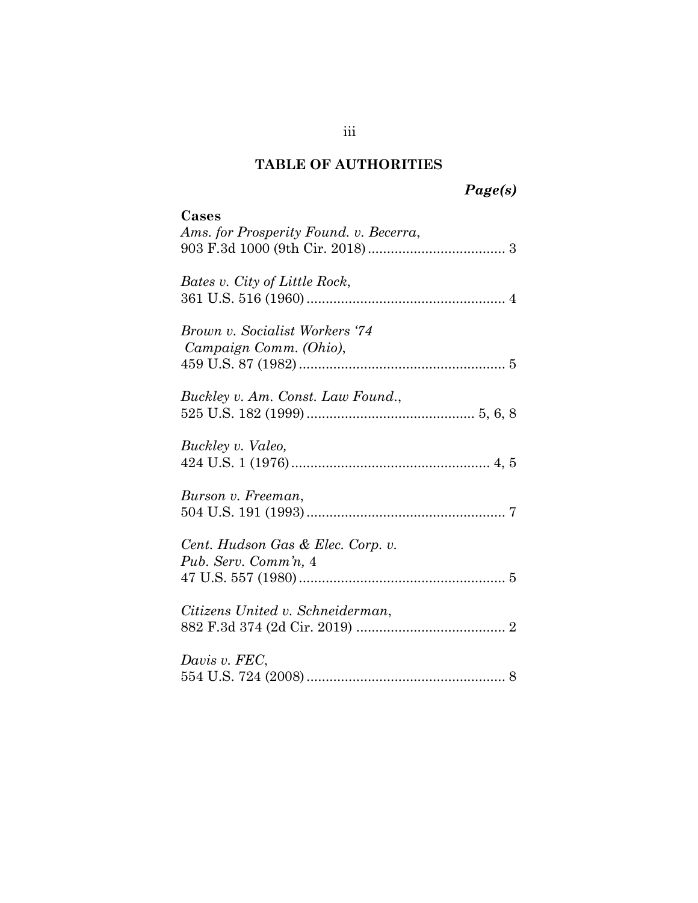# **TABLE OF AUTHORITIES**

# *Page(s)*

| Cases<br>Ams. for Prosperity Found. v. Becerra,           |
|-----------------------------------------------------------|
| Bates v. City of Little Rock,                             |
| Brown v. Socialist Workers '74<br>Campaign Comm. (Ohio),  |
| Buckley v. Am. Const. Law Found.,                         |
| Buckley v. Valeo,                                         |
| Burson v. Freeman,                                        |
| Cent. Hudson Gas & Elec. Corp. v.<br>Pub. Serv. Comm'n, 4 |
| Citizens United v. Schneiderman,                          |
| Davis v. FEC,                                             |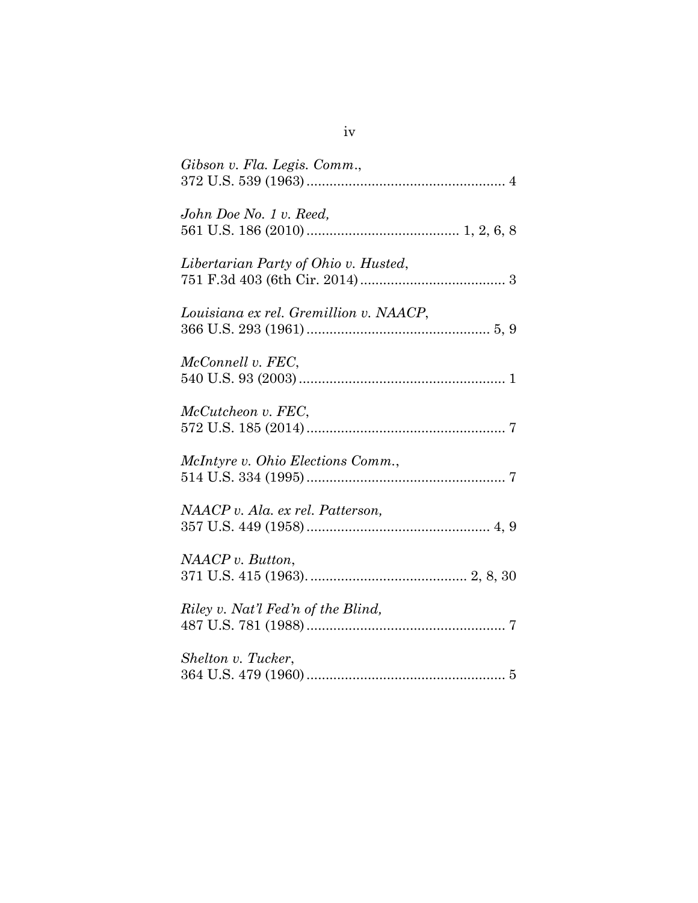| Gibson v. Fla. Legis. Comm.,           |
|----------------------------------------|
| John Doe No. 1 v. Reed,                |
| Libertarian Party of Ohio v. Husted,   |
| Louisiana ex rel. Gremillion v. NAACP, |
| McConnell v. FEC,                      |
| McCutcheon v. FEC,                     |
| McIntyre v. Ohio Elections Comm.,      |
| NAACP v. Ala. ex rel. Patterson,       |
| NAACP v. Button,                       |
| Riley v. Nat'l Fed'n of the Blind,     |
| Shelton v. Tucker,                     |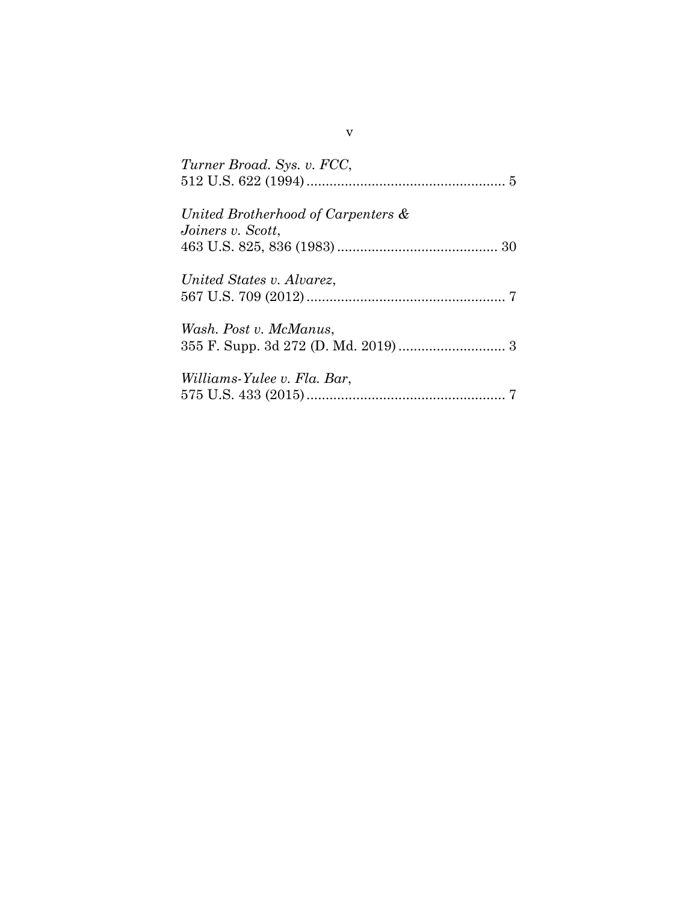| Turner Broad. Sys. v. FCC,                              |
|---------------------------------------------------------|
| United Brotherhood of Carpenters &<br>Joiners v. Scott, |
| United States v. Alvarez,                               |
| Wash. Post v. McManus,                                  |
| Williams-Yulee v. Fla. Bar,                             |

v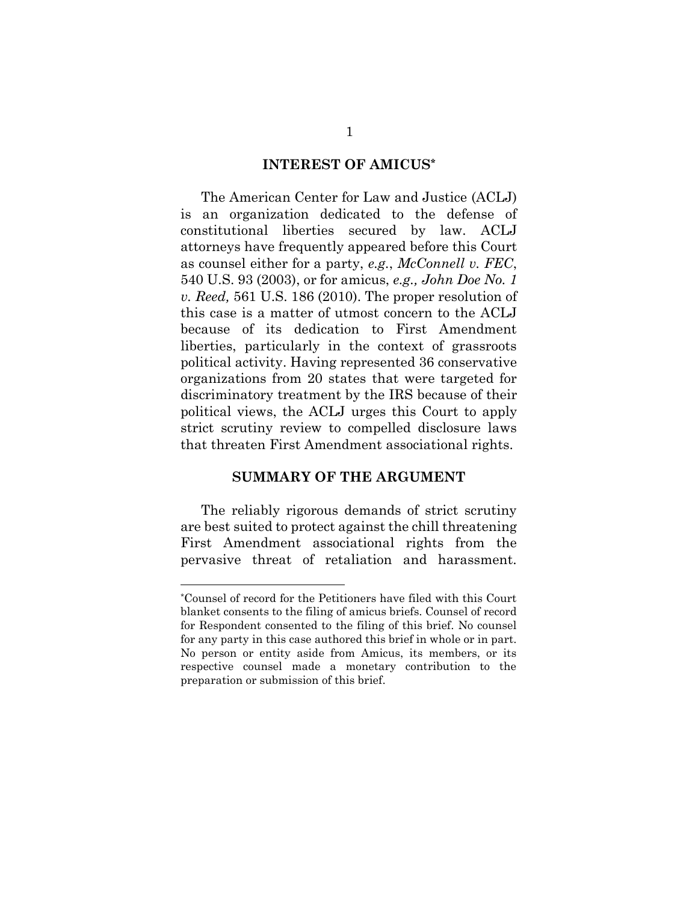#### **INTEREST OF AMICUS\***

The American Center for Law and Justice (ACLJ) is an organization dedicated to the defense of constitutional liberties secured by law. ACLJ attorneys have frequently appeared before this Court as counsel either for a party, *e.g.*, *McConnell v. FEC*, 540 U.S. 93 (2003), or for amicus, *e.g., John Doe No. 1 v. Reed,* 561 U.S. 186 (2010). The proper resolution of this case is a matter of utmost concern to the ACLJ because of its dedication to First Amendment liberties, particularly in the context of grassroots political activity. Having represented 36 conservative organizations from 20 states that were targeted for discriminatory treatment by the IRS because of their political views, the ACLJ urges this Court to apply strict scrutiny review to compelled disclosure laws that threaten First Amendment associational rights.

#### **SUMMARY OF THE ARGUMENT**

The reliably rigorous demands of strict scrutiny are best suited to protect against the chill threatening First Amendment associational rights from the pervasive threat of retaliation and harassment.

l

<sup>\*</sup>Counsel of record for the Petitioners have filed with this Court blanket consents to the filing of amicus briefs. Counsel of record for Respondent consented to the filing of this brief. No counsel for any party in this case authored this brief in whole or in part. No person or entity aside from Amicus, its members, or its respective counsel made a monetary contribution to the preparation or submission of this brief.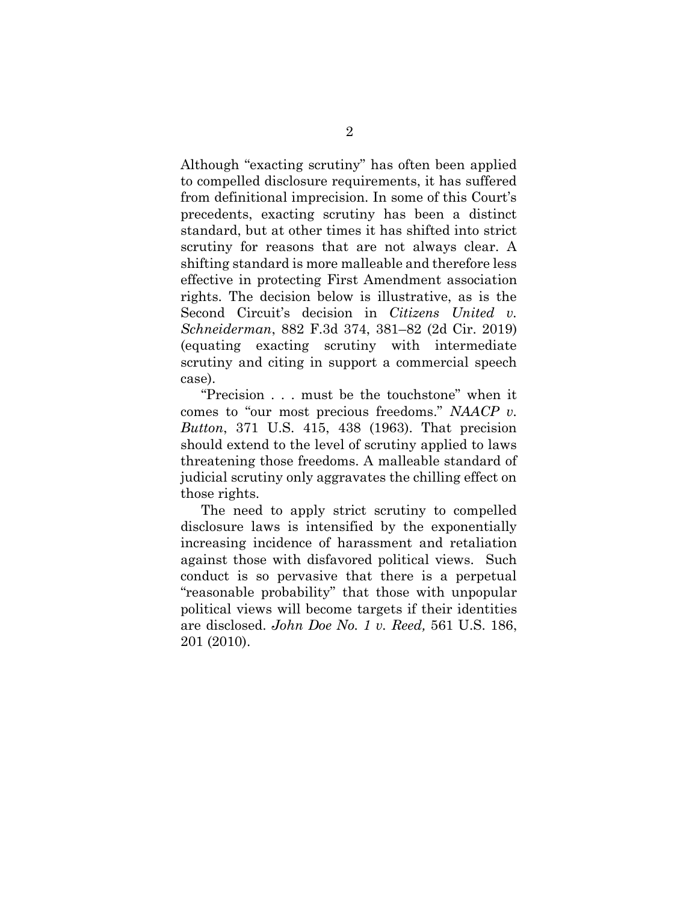Although "exacting scrutiny" has often been applied to compelled disclosure requirements, it has suffered from definitional imprecision. In some of this Court's precedents, exacting scrutiny has been a distinct standard, but at other times it has shifted into strict scrutiny for reasons that are not always clear. A shifting standard is more malleable and therefore less effective in protecting First Amendment association rights. The decision below is illustrative, as is the Second Circuit's decision in *Citizens United v. Schneiderman*, 882 F.3d 374, 381–82 (2d Cir. 2019) (equating exacting scrutiny with intermediate scrutiny and citing in support a commercial speech case).

"Precision . . . must be the touchstone" when it comes to "our most precious freedoms." *NAACP v. Button*, 371 U.S. 415, 438 (1963). That precision should extend to the level of scrutiny applied to laws threatening those freedoms. A malleable standard of judicial scrutiny only aggravates the chilling effect on those rights.

The need to apply strict scrutiny to compelled disclosure laws is intensified by the exponentially increasing incidence of harassment and retaliation against those with disfavored political views. Such conduct is so pervasive that there is a perpetual "reasonable probability" that those with unpopular political views will become targets if their identities are disclosed. *John Doe No. 1 v. Reed,* 561 U.S. 186, 201 (2010).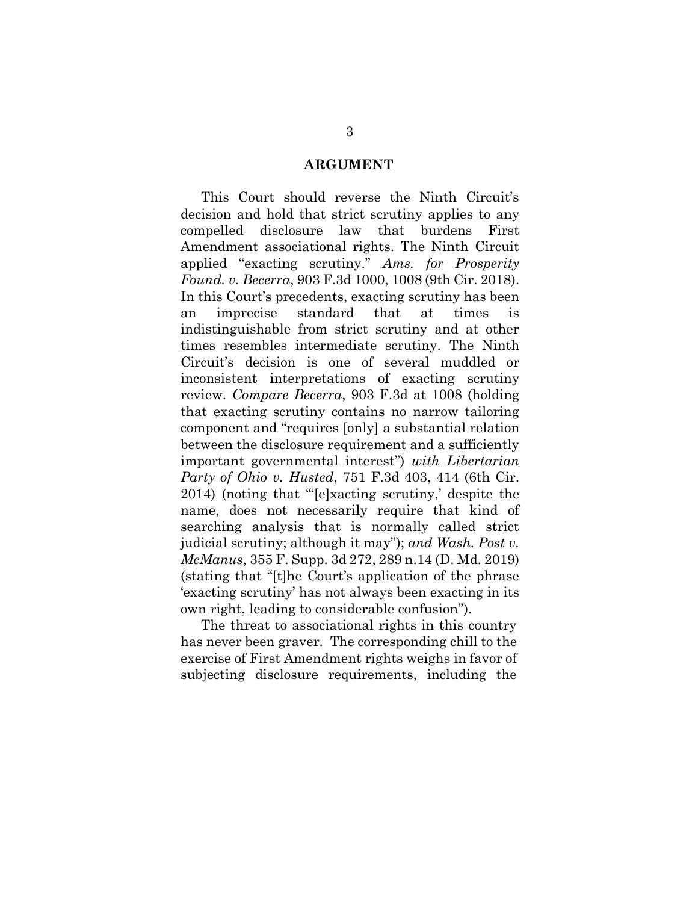#### **ARGUMENT**

This Court should reverse the Ninth Circuit's decision and hold that strict scrutiny applies to any compelled disclosure law that burdens First Amendment associational rights. The Ninth Circuit applied "exacting scrutiny." *Ams. for Prosperity Found. v. Becerra*, 903 F.3d 1000, 1008 (9th Cir. 2018). In this Court's precedents, exacting scrutiny has been an imprecise standard that at times is indistinguishable from strict scrutiny and at other times resembles intermediate scrutiny. The Ninth Circuit's decision is one of several muddled or inconsistent interpretations of exacting scrutiny review. *Compare Becerra*, 903 F.3d at 1008 (holding that exacting scrutiny contains no narrow tailoring component and "requires [only] a substantial relation between the disclosure requirement and a sufficiently important governmental interest") *with Libertarian Party of Ohio v. Husted*, 751 F.3d 403, 414 (6th Cir. 2014) (noting that "'[e]xacting scrutiny,' despite the name, does not necessarily require that kind of searching analysis that is normally called strict judicial scrutiny; although it may"); *and Wash. Post v. McManus*, 355 F. Supp. 3d 272, 289 n.14 (D. Md. 2019) (stating that "[t]he Court's application of the phrase 'exacting scrutiny' has not always been exacting in its own right, leading to considerable confusion").

The threat to associational rights in this country has never been graver. The corresponding chill to the exercise of First Amendment rights weighs in favor of subjecting disclosure requirements, including the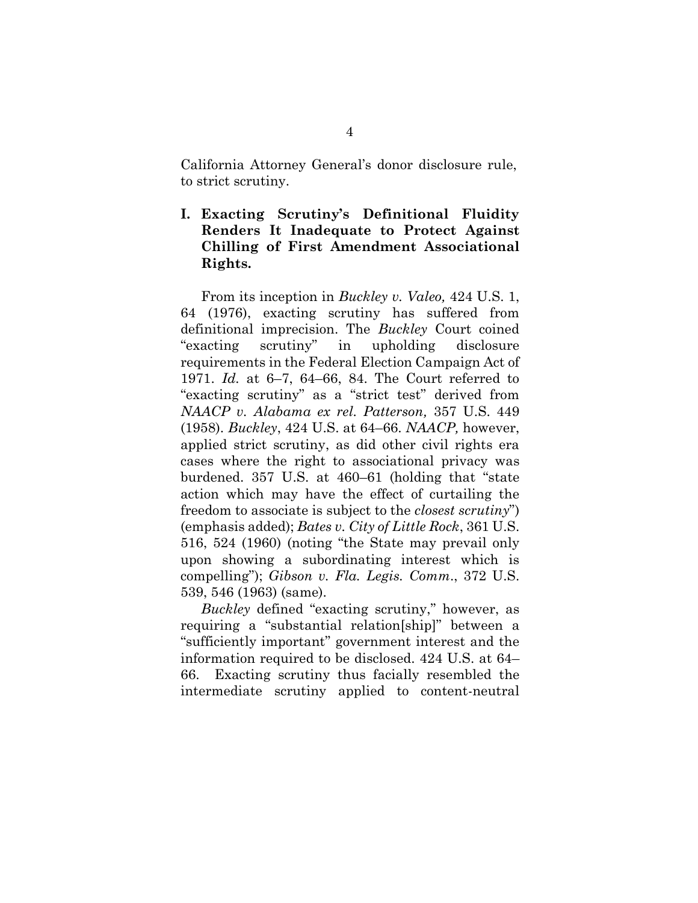California Attorney General's donor disclosure rule, to strict scrutiny.

## **I. Exacting Scrutiny's Definitional Fluidity Renders It Inadequate to Protect Against Chilling of First Amendment Associational Rights.**

From its inception in *Buckley v. Valeo,* 424 U.S. 1, 64 (1976), exacting scrutiny has suffered from definitional imprecision. The *Buckley* Court coined "exacting scrutiny" in upholding disclosure requirements in the Federal Election Campaign Act of 1971. *Id.* at 6–7, 64–66, 84. The Court referred to "exacting scrutiny" as a "strict test" derived from *NAACP v. Alabama ex rel. Patterson,* 357 U.S. 449 (1958). *Buckley*, 424 U.S. at 64–66. *NAACP,* however, applied strict scrutiny, as did other civil rights era cases where the right to associational privacy was burdened. 357 U.S. at 460–61 (holding that "state action which may have the effect of curtailing the freedom to associate is subject to the *closest scrutiny*") (emphasis added); *Bates v. City of Little Rock*, 361 U.S. 516, 524 (1960) (noting "the State may prevail only upon showing a subordinating interest which is compelling"); *Gibson v. Fla. Legis. Comm*., 372 U.S. 539, 546 (1963) (same).

*Buckley* defined "exacting scrutiny," however, as requiring a "substantial relation[ship]" between a "sufficiently important" government interest and the information required to be disclosed. 424 U.S. at 64– 66. Exacting scrutiny thus facially resembled the intermediate scrutiny applied to content-neutral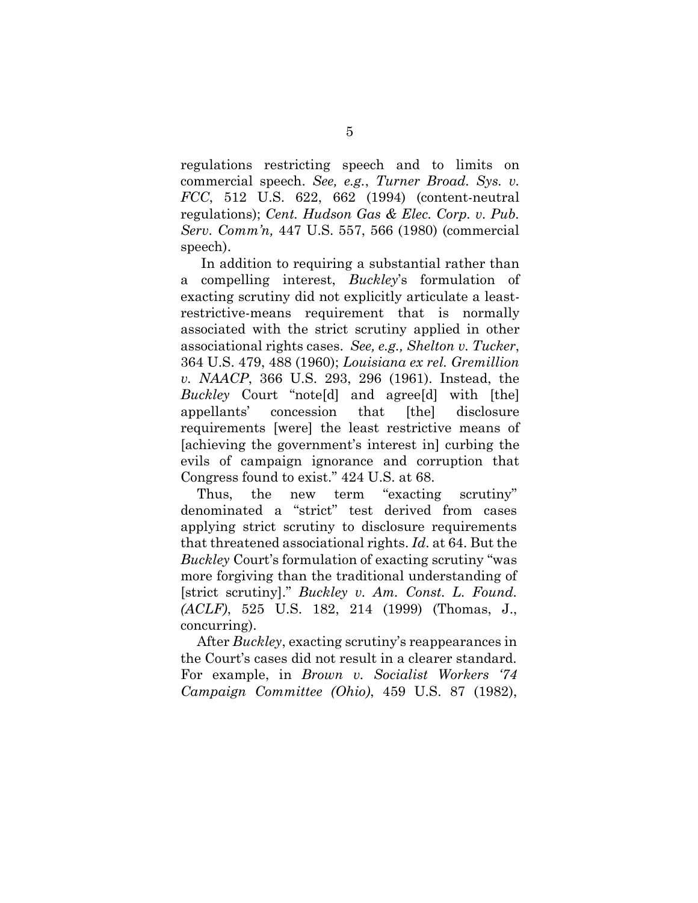regulations restricting speech and to limits on commercial speech. *See, e.g.*, *Turner Broad. Sys. v. FCC*, 512 U.S. 622, 662 (1994) (content-neutral regulations); *Cent. Hudson Gas & Elec. Corp. v. Pub. Serv. Comm'n,* 447 U.S. 557, 566 (1980) (commercial speech).

In addition to requiring a substantial rather than a compelling interest, *Buckley*'s formulation of exacting scrutiny did not explicitly articulate a leastrestrictive-means requirement that is normally associated with the strict scrutiny applied in other associational rights cases. *See, e.g., Shelton v. Tucker*, 364 U.S. 479, 488 (1960); *Louisiana ex rel. Gremillion v. NAACP*, 366 U.S. 293, 296 (1961). Instead, the *Buckley* Court "note[d] and agree[d] with [the] appellants' concession that [the] disclosure requirements [were] the least restrictive means of [achieving the government's interest in] curbing the evils of campaign ignorance and corruption that Congress found to exist." 424 U.S. at 68.

Thus, the new term "exacting scrutiny" denominated a "strict" test derived from cases applying strict scrutiny to disclosure requirements that threatened associational rights. *Id*. at 64. But the *Buckley* Court's formulation of exacting scrutiny "was more forgiving than the traditional understanding of [strict scrutiny]." *Buckley v. Am. Const. L. Found. (ACLF)*, 525 U.S. 182, 214 (1999) (Thomas, J., concurring).

After *Buckley*, exacting scrutiny's reappearances in the Court's cases did not result in a clearer standard. For example, in *Brown v. Socialist Workers '74 Campaign Committee (Ohio)*, 459 U.S. 87 (1982),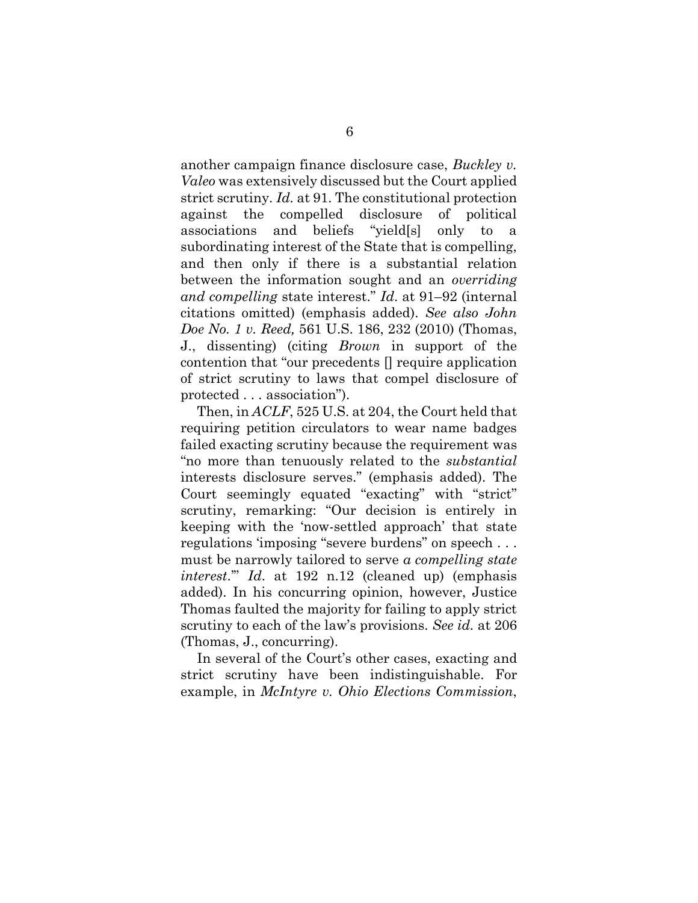another campaign finance disclosure case, *Buckley v. Valeo* was extensively discussed but the Court applied strict scrutiny. *Id.* at 91. The constitutional protection against the compelled disclosure of political associations and beliefs "yield[s] only to a subordinating interest of the State that is compelling, and then only if there is a substantial relation between the information sought and an *overriding and compelling* state interest." *Id*. at 91–92 (internal citations omitted) (emphasis added). *See also John Doe No. 1 v. Reed,* 561 U.S. 186, 232 (2010) (Thomas, J., dissenting) (citing *Brown* in support of the contention that "our precedents [] require application of strict scrutiny to laws that compel disclosure of protected . . . association").

Then, in *ACLF*, 525 U.S. at 204, the Court held that requiring petition circulators to wear name badges failed exacting scrutiny because the requirement was "no more than tenuously related to the *substantial* interests disclosure serves." (emphasis added). The Court seemingly equated "exacting" with "strict" scrutiny, remarking: "Our decision is entirely in keeping with the 'now-settled approach' that state regulations 'imposing "severe burdens" on speech . . . must be narrowly tailored to serve *a compelling state interest*.'" *Id*. at 192 n.12 (cleaned up) (emphasis added). In his concurring opinion, however, Justice Thomas faulted the majority for failing to apply strict scrutiny to each of the law's provisions. *See id.* at 206 (Thomas, J., concurring).

In several of the Court's other cases, exacting and strict scrutiny have been indistinguishable. For example, in *McIntyre v. Ohio Elections Commission*,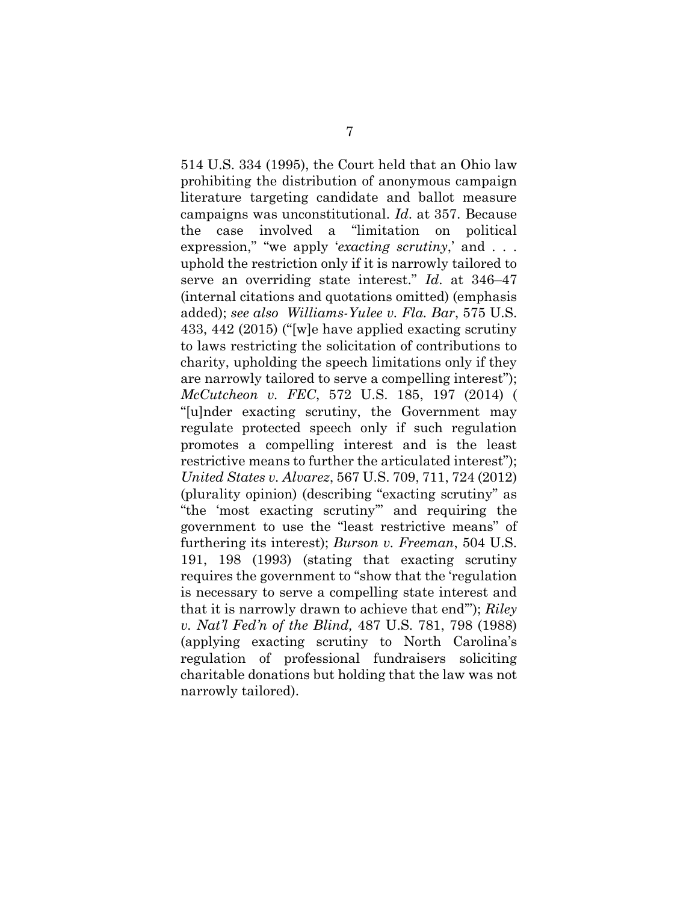514 U.S. 334 (1995), the Court held that an Ohio law prohibiting the distribution of anonymous campaign literature targeting candidate and ballot measure campaigns was unconstitutional. *Id*. at 357. Because the case involved a "limitation on political expression," "we apply '*exacting scrutiny*,' and . . . uphold the restriction only if it is narrowly tailored to serve an overriding state interest." *Id*. at 346–47 (internal citations and quotations omitted) (emphasis added); *see also Williams-Yulee v. Fla. Bar*, 575 U.S. 433, 442 (2015) ("[w]e have applied exacting scrutiny to laws restricting the solicitation of contributions to charity, upholding the speech limitations only if they are narrowly tailored to serve a compelling interest"); *McCutcheon v. FEC*, 572 U.S. 185, 197 (2014) ( "[u]nder exacting scrutiny, the Government may regulate protected speech only if such regulation promotes a compelling interest and is the least restrictive means to further the articulated interest"); *United States v. Alvarez*, 567 U.S. 709, 711, 724 (2012) (plurality opinion) (describing "exacting scrutiny" as "the 'most exacting scrutiny'" and requiring the government to use the "least restrictive means" of furthering its interest); *Burson v. Freeman*, 504 U.S. 191, 198 (1993) (stating that exacting scrutiny requires the government to "show that the 'regulation is necessary to serve a compelling state interest and that it is narrowly drawn to achieve that end'"); *Riley v. Nat'l Fed'n of the Blind,* 487 U.S. 781, 798 (1988) (applying exacting scrutiny to North Carolina's regulation of professional fundraisers soliciting charitable donations but holding that the law was not narrowly tailored).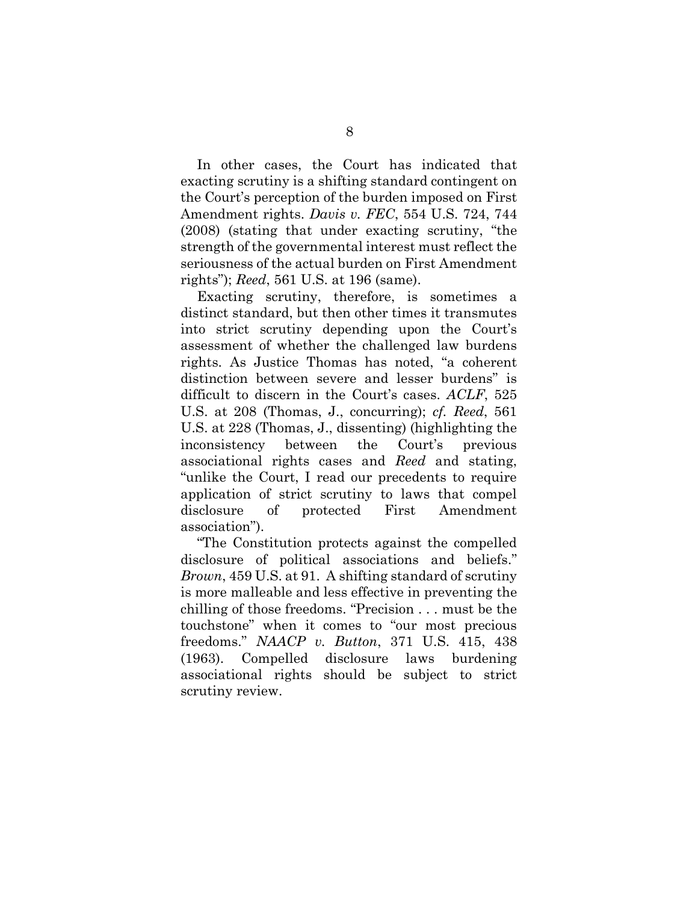In other cases, the Court has indicated that exacting scrutiny is a shifting standard contingent on the Court's perception of the burden imposed on First Amendment rights. *Davis v. FEC*, 554 U.S. 724, 744 (2008) (stating that under exacting scrutiny, "the strength of the governmental interest must reflect the seriousness of the actual burden on First Amendment rights"); *Reed*, 561 U.S. at 196 (same).

Exacting scrutiny, therefore, is sometimes a distinct standard, but then other times it transmutes into strict scrutiny depending upon the Court's assessment of whether the challenged law burdens rights. As Justice Thomas has noted, "a coherent distinction between severe and lesser burdens" is difficult to discern in the Court's cases. *ACLF*, 525 U.S. at 208 (Thomas, J., concurring); *cf. Reed*, 561 U.S. at 228 (Thomas, J., dissenting) (highlighting the inconsistency between the Court's previous associational rights cases and *Reed* and stating, "unlike the Court, I read our precedents to require application of strict scrutiny to laws that compel disclosure of protected First Amendment association").

"The Constitution protects against the compelled disclosure of political associations and beliefs." *Brown*, 459 U.S. at 91. A shifting standard of scrutiny is more malleable and less effective in preventing the chilling of those freedoms. "Precision . . . must be the touchstone" when it comes to "our most precious freedoms." *NAACP v. Button*, 371 U.S. 415, 438 (1963). Compelled disclosure laws burdening associational rights should be subject to strict scrutiny review.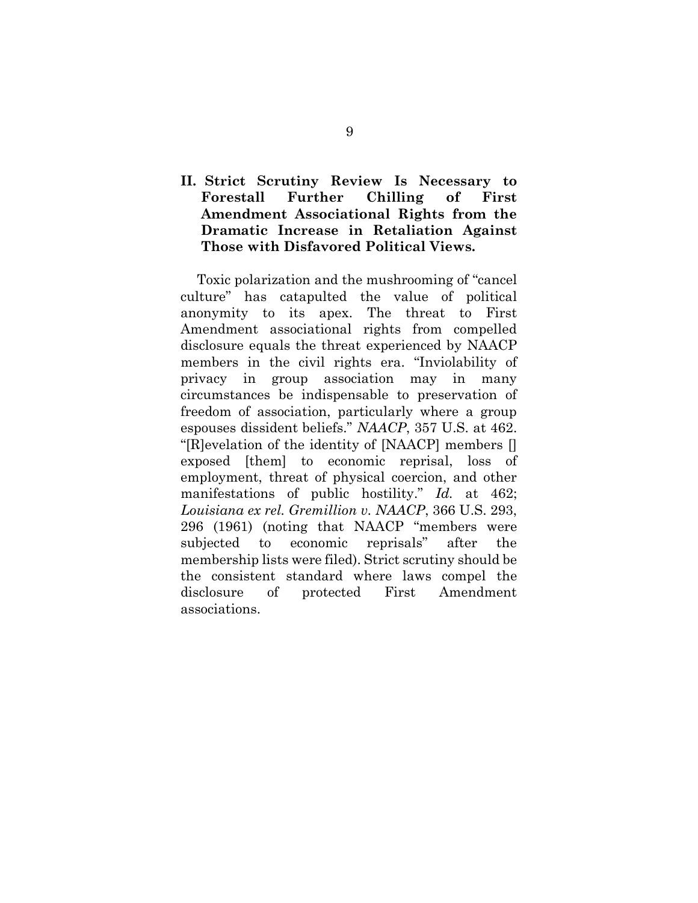## **II. Strict Scrutiny Review Is Necessary to Forestall Further Chilling of First Amendment Associational Rights from the Dramatic Increase in Retaliation Against Those with Disfavored Political Views.**

Toxic polarization and the mushrooming of "cancel culture" has catapulted the value of political anonymity to its apex. The threat to First Amendment associational rights from compelled disclosure equals the threat experienced by NAACP members in the civil rights era. "Inviolability of privacy in group association may in many circumstances be indispensable to preservation of freedom of association, particularly where a group espouses dissident beliefs." *NAACP*, 357 U.S. at 462. "[R]evelation of the identity of [NAACP] members [] exposed [them] to economic reprisal, loss of employment, threat of physical coercion, and other manifestations of public hostility." *Id.* at 462; *Louisiana ex rel. Gremillion v. NAACP*, 366 U.S. 293, 296 (1961) (noting that NAACP "members were subjected to economic reprisals" after the membership lists were filed). Strict scrutiny should be the consistent standard where laws compel the disclosure of protected First Amendment associations.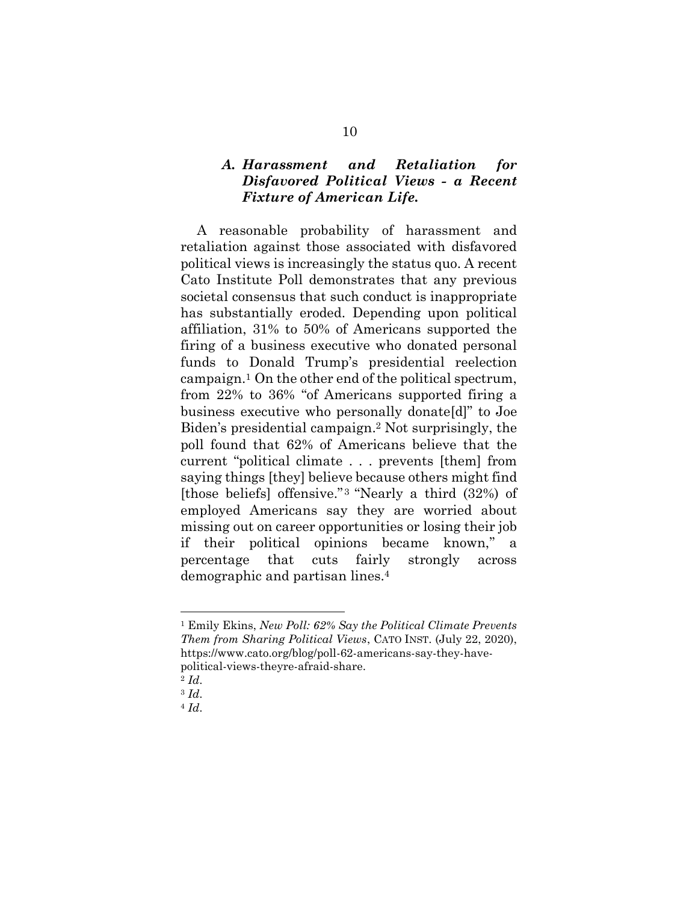## *A. Harassment and Retaliation for Disfavored Political Views - a Recent Fixture of American Life.*

A reasonable probability of harassment and retaliation against those associated with disfavored political views is increasingly the status quo. A recent Cato Institute Poll demonstrates that any previous societal consensus that such conduct is inappropriate has substantially eroded. Depending upon political affiliation, 31% to 50% of Americans supported the firing of a business executive who donated personal funds to Donald Trump's presidential reelection campaign. <sup>1</sup> On the other end of the political spectrum, from 22% to 36% "of Americans supported firing a business executive who personally donate[d]" to Joe Biden's presidential campaign. <sup>2</sup> Not surprisingly, the poll found that 62% of Americans believe that the current "political climate . . . prevents [them] from saying things [they] believe because others might find [those beliefs] offensive." <sup>3</sup> "Nearly a third (32%) of employed Americans say they are worried about missing out on career opportunities or losing their job if their political opinions became known," a percentage that cuts fairly strongly across demographic and partisan lines.<sup>4</sup>

l

<sup>1</sup> Emily Ekins, *New Poll: 62% Say the Political Climate Prevents Them from Sharing Political Views*, CATO INST. (July 22, 2020), https://www.cato.org/blog/poll-62-americans-say-they-havepolitical-views-theyre-afraid-share.

<sup>2</sup> *Id*.

<sup>3</sup> *Id*.

<sup>4</sup> *Id*.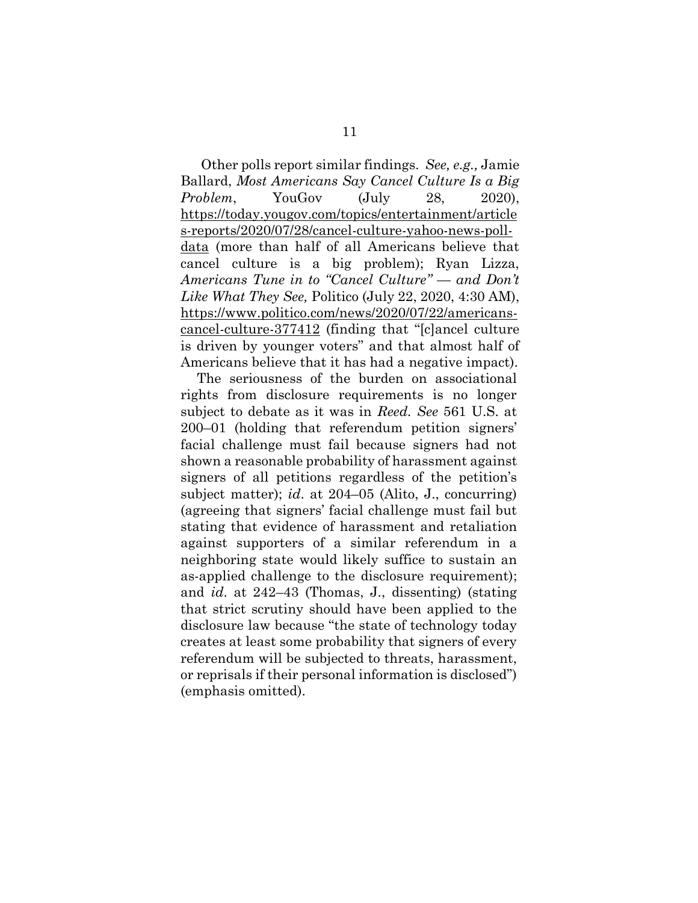Other polls report similar findings. *See, e.g.,* Jamie Ballard, *Most Americans Say Cancel Culture Is a Big Problem*, YouGov (July 28, 2020), [https://today.yougov.com/topics/entertainment/article](https://today.yougov.com/topics/entertainment/articles-reports/2020/07/28/cancel-culture-yahoo-news-poll-data) [s-reports/2020/07/28/cancel-culture-yahoo-news-poll](https://today.yougov.com/topics/entertainment/articles-reports/2020/07/28/cancel-culture-yahoo-news-poll-data)[data](https://today.yougov.com/topics/entertainment/articles-reports/2020/07/28/cancel-culture-yahoo-news-poll-data) (more than half of all Americans believe that cancel culture is a big problem); Ryan Lizza, *Americans Tune in to "Cancel Culture" — and Don't Like What They See,* Politico (July 22, 2020, 4:30 AM), [https://www.politico.com/news/2020/07/22/americans](https://www.politico.com/news/2020/07/22/americans-cancel-culture-377412)[cancel-culture-377412](https://www.politico.com/news/2020/07/22/americans-cancel-culture-377412) (finding that "[c]ancel culture is driven by younger voters" and that almost half of Americans believe that it has had a negative impact).

The seriousness of the burden on associational rights from disclosure requirements is no longer subject to debate as it was in *Reed. See* 561 U.S. at 200–01 (holding that referendum petition signers' facial challenge must fail because signers had not shown a reasonable probability of harassment against signers of all petitions regardless of the petition's subject matter); *id*. at 204–05 (Alito, J., concurring) (agreeing that signers' facial challenge must fail but stating that evidence of harassment and retaliation against supporters of a similar referendum in a neighboring state would likely suffice to sustain an as-applied challenge to the disclosure requirement); and *id*. at 242–43 (Thomas, J., dissenting) (stating that strict scrutiny should have been applied to the disclosure law because "the state of technology today creates at least some probability that signers of every referendum will be subjected to threats, harassment, or reprisals if their personal information is disclosed") (emphasis omitted).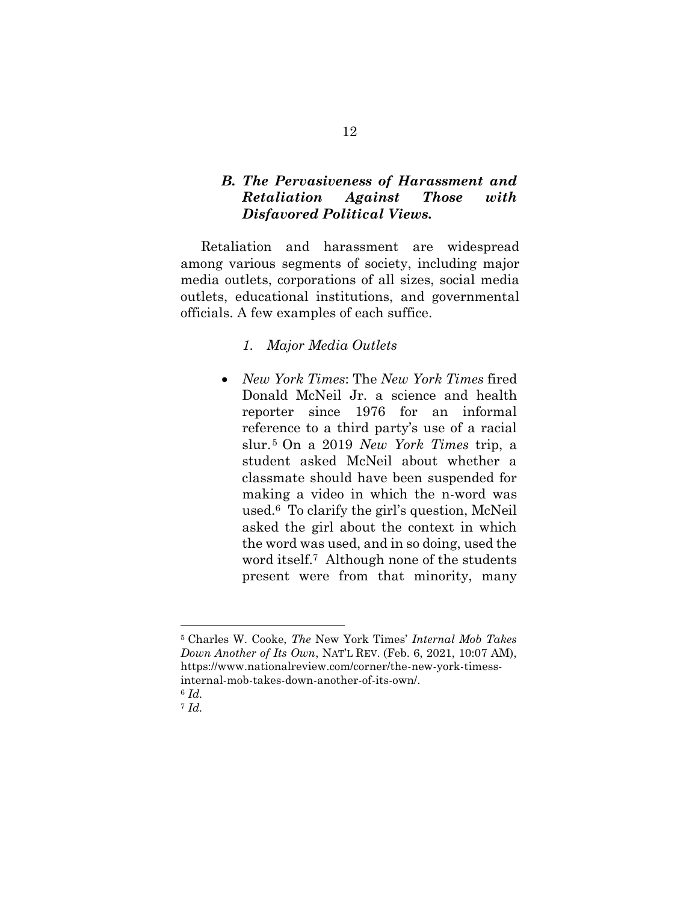## *B. The Pervasiveness of Harassment and Retaliation Against Those with Disfavored Political Views.*

Retaliation and harassment are widespread among various segments of society, including major media outlets, corporations of all sizes, social media outlets, educational institutions, and governmental officials. A few examples of each suffice.

## *1. Major Media Outlets*

 *New York Times*: The *New York Times* fired Donald McNeil Jr. a science and health reporter since 1976 for an informal reference to a third party's use of a racial slur.<sup>5</sup> On a 2019 *New York Times* trip, a student asked McNeil about whether a classmate should have been suspended for making a video in which the n-word was used. <sup>6</sup> To clarify the girl's question, McNeil asked the girl about the context in which the word was used, and in so doing, used the word itself.<sup>7</sup> Although none of the students present were from that minority, many

l

<sup>5</sup> Charles W. Cooke, *The* New York Times' *Internal Mob Takes Down Another of Its Own*, NAT'L REV. (Feb. 6, 2021, 10:07 AM), https://www.nationalreview.com/corner/the-new-york-timessinternal-mob-takes-down-another-of-its-own/.

<sup>6</sup> *Id.* 

<sup>7</sup> *Id.*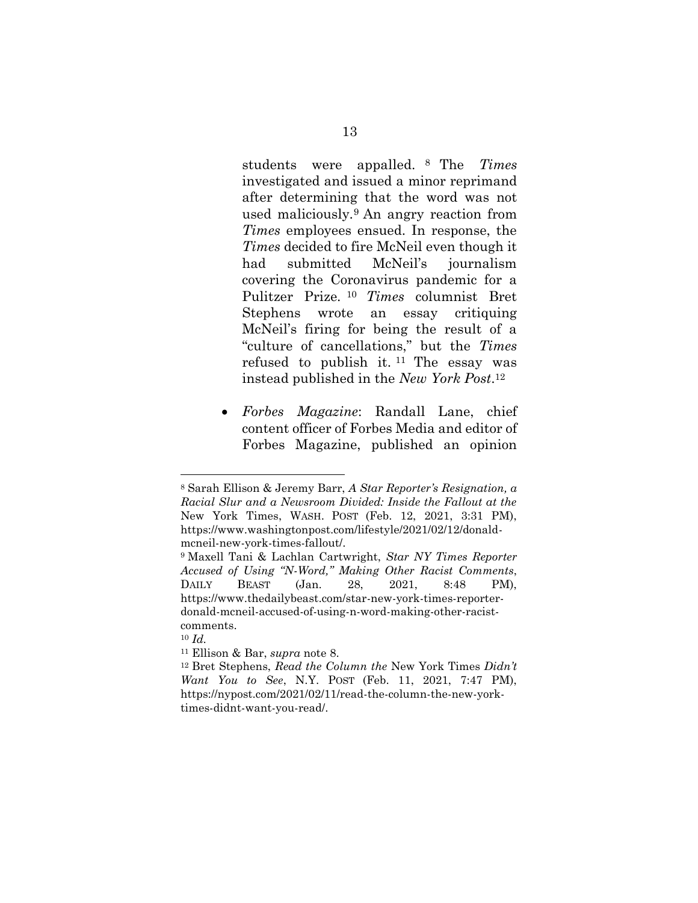<span id="page-18-0"></span>students were appalled. <sup>8</sup> The *Times* investigated and issued a minor reprimand after determining that the word was not used maliciously.<sup>9</sup> An angry reaction from *Times* employees ensued. In response, the *Times* decided to fire McNeil even though it had submitted McNeil's journalism covering the Coronavirus pandemic for a Pulitzer Prize. <sup>10</sup> *Times* columnist Bret Stephens wrote an essay critiquing McNeil's firing for being the result of a "culture of cancellations," but the *Times* refused to publish it.  $11$  The essay was instead published in the *New York Post*. 12

 *Forbes Magazine*: Randall Lane, chief content officer of Forbes Media and editor of Forbes Magazine, published an opinion

<sup>8</sup> Sarah Ellison & Jeremy Barr, *A Star Reporter's Resignation, a Racial Slur and a Newsroom Divided: Inside the Fallout at the*  New York Times, WASH. POST (Feb. 12, 2021, 3:31 PM), https://www.washingtonpost.com/lifestyle/2021/02/12/donaldmcneil-new-york-times-fallout/.

<sup>9</sup> Maxell Tani & Lachlan Cartwright, *Star NY Times Reporter Accused of Using "N-Word," Making Other Racist Comments*, DAILY BEAST (Jan. 28, 2021, 8:48 PM), https://www.thedailybeast.com/star-new-york-times-reporterdonald-mcneil-accused-of-using-n-word-making-other-racistcomments.

<sup>10</sup> *Id.*

<sup>11</sup> Ellison & Bar, *supra* note [8.](#page-18-0)

<sup>12</sup> Bret Stephens, *Read the Column the* New York Times *Didn't Want You to See*, N.Y. POST (Feb. 11, 2021, 7:47 PM), https://nypost.com/2021/02/11/read-the-column-the-new-yorktimes-didnt-want-you-read/.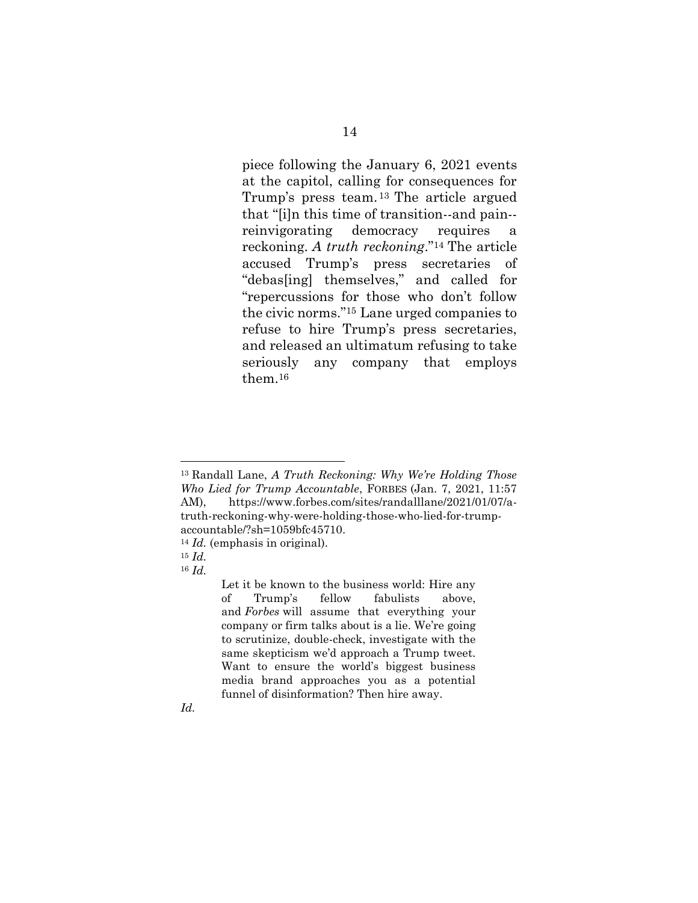piece following the January 6, 2021 events at the capitol, calling for consequences for Trump's press team. <sup>13</sup> The article argued that "[i]n this time of transition--and pain- reinvigorating democracy requires a reckoning. *A truth reckoning*."<sup>14</sup> The article accused Trump's press secretaries of "debas[ing] themselves," and called for "repercussions for those who don't follow the civic norms."<sup>15</sup> Lane urged companies to refuse to hire Trump's press secretaries, and released an ultimatum refusing to take seriously any company that employs them.<sup>16</sup>

*Id.*

<sup>13</sup> Randall Lane, *A Truth Reckoning: Why We're Holding Those Who Lied for Trump Accountable*, FORBES (Jan. 7, 2021, 11:57 AM), https://www.forbes.com/sites/randalllane/2021/01/07/atruth-reckoning-why-were-holding-those-who-lied-for-trumpaccountable/?sh=1059bfc45710.

<sup>14</sup> *Id.* (emphasis in original).

<sup>15</sup> *Id.*

<sup>16</sup> *Id.*

Let it be known to the business world: Hire any of Trump's fellow fabulists above, and *Forbes* will assume that everything your company or firm talks about is a lie. We're going to scrutinize, double-check, investigate with the same skepticism we'd approach a Trump tweet. Want to ensure the world's biggest business media brand approaches you as a potential funnel of disinformation? Then hire away.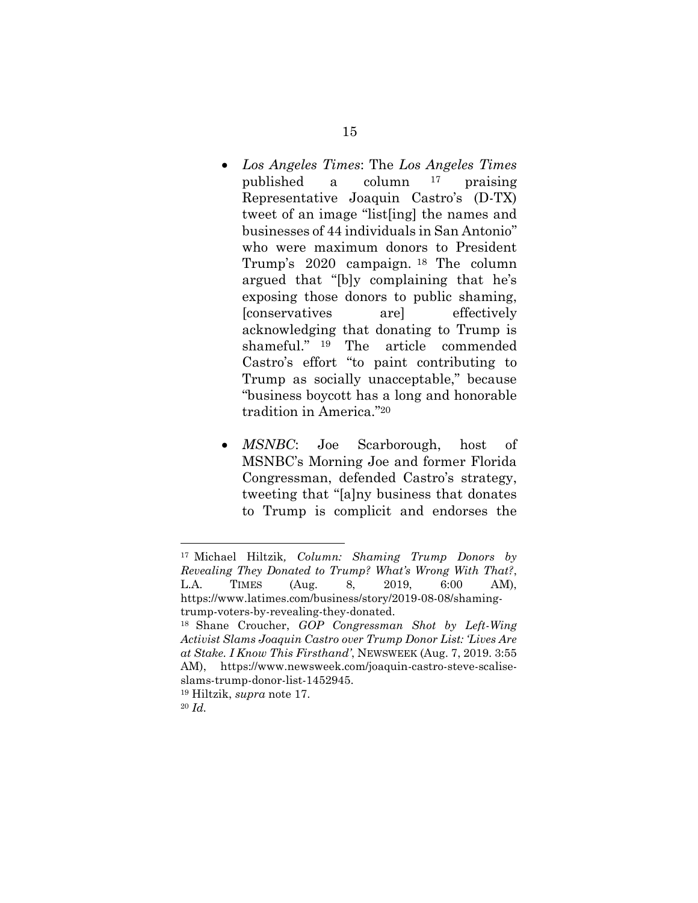- <span id="page-20-1"></span><span id="page-20-0"></span> *Los Angeles Times*: The *Los Angeles Times* published a column <sup>17</sup> praising Representative Joaquin Castro's (D-TX) tweet of an image "list[ing] the names and businesses of 44 individuals in San Antonio" who were maximum donors to President Trump's 2020 campaign. <sup>18</sup> The column argued that "[b]y complaining that he's exposing those donors to public shaming, [conservatives are] effectively acknowledging that donating to Trump is shameful." <sup>19</sup> The article commended Castro's effort "to paint contributing to Trump as socially unacceptable," because "business boycott has a long and honorable tradition in America." 20
- *MSNBC*: Joe Scarborough, host of MSNBC's Morning Joe and former Florida Congressman, defended Castro's strategy, tweeting that "[a]ny business that donates to Trump is complicit and endorses the

<sup>17</sup> Michael Hiltzik*, Column: Shaming Trump Donors by Revealing They Donated to Trump? What's Wrong With That?*, L.A. TIMES (Aug. 8, 2019, 6:00 AM), https://www.latimes.com/business/story/2019-08-08/shamingtrump-voters-by-revealing-they-donated.

<sup>18</sup> Shane Croucher, *GOP Congressman Shot by Left-Wing Activist Slams Joaquin Castro over Trump Donor List: 'Lives Are at Stake. I Know This Firsthand'*, NEWSWEEK (Aug. 7, 2019. 3:55 AM), https://www.newsweek.com/joaquin-castro-steve-scaliseslams-trump-donor-list-1452945.

<sup>19</sup> Hiltzik, *supra* note [17.](#page-20-0)

<sup>20</sup> *Id.*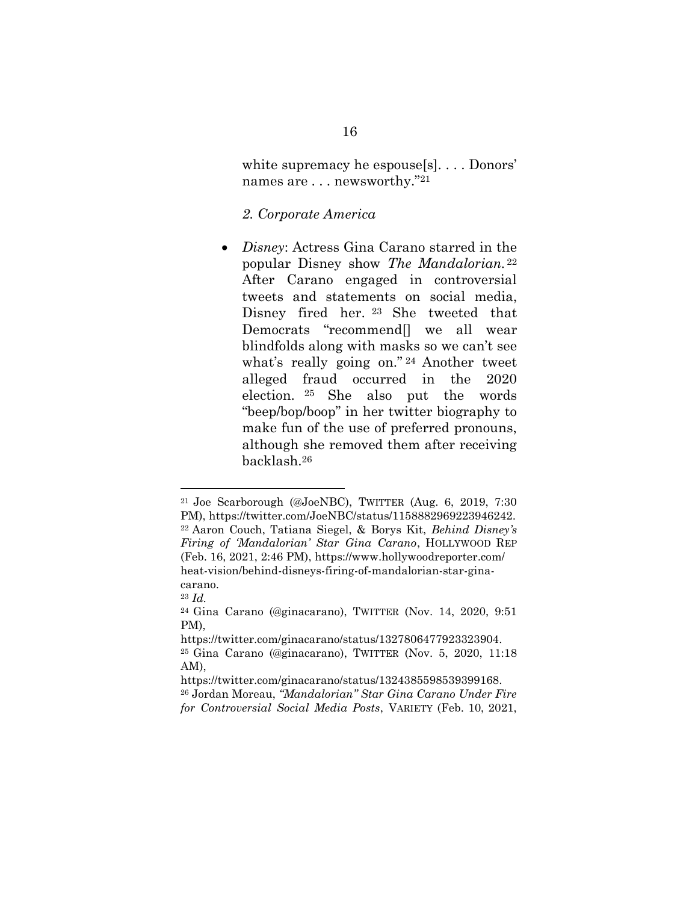white supremacy he espouse[s]. . . . Donors' names are . . . newsworthy."<sup>21</sup>

#### *2. Corporate America*

 *Disney*: Actress Gina Carano starred in the popular Disney show *The Mandalorian.* <sup>22</sup> After Carano engaged in controversial tweets and statements on social media, Disney fired her. <sup>23</sup> She tweeted that Democrats "recommend[] we all wear blindfolds along with masks so we can't see what's really going on." <sup>24</sup> Another tweet alleged fraud occurred in the 2020 election. <sup>25</sup> She also put the words "beep/bop/boop" in her twitter biography to make fun of the use of preferred pronouns, although she removed them after receiving backlash.<sup>26</sup>

<sup>21</sup> Joe Scarborough (@JoeNBC), TWITTER (Aug. 6, 2019, 7:30 PM), https://twitter.com/JoeNBC/status/1158882969223946242. <sup>22</sup> Aaron Couch, Tatiana Siegel, & Borys Kit, *Behind Disney's Firing of 'Mandalorian' Star Gina Carano*, HOLLYWOOD REP (Feb. 16, 2021, 2:46 PM), https://www.hollywoodreporter.com/ heat-vision/behind-disneys-firing-of-mandalorian-star-ginacarano.

<sup>23</sup> *Id.*

<sup>24</sup> Gina Carano (@ginacarano), TWITTER (Nov. 14, 2020, 9:51 PM),

https://twitter.com/ginacarano/status/1327806477923323904. <sup>25</sup> Gina Carano (@ginacarano), TWITTER (Nov. 5, 2020, 11:18 AM),

https://twitter.com/ginacarano/status/1324385598539399168. <sup>26</sup> Jordan Moreau, *"Mandalorian" Star Gina Carano Under Fire for Controversial Social Media Posts*, VARIETY (Feb. 10, 2021,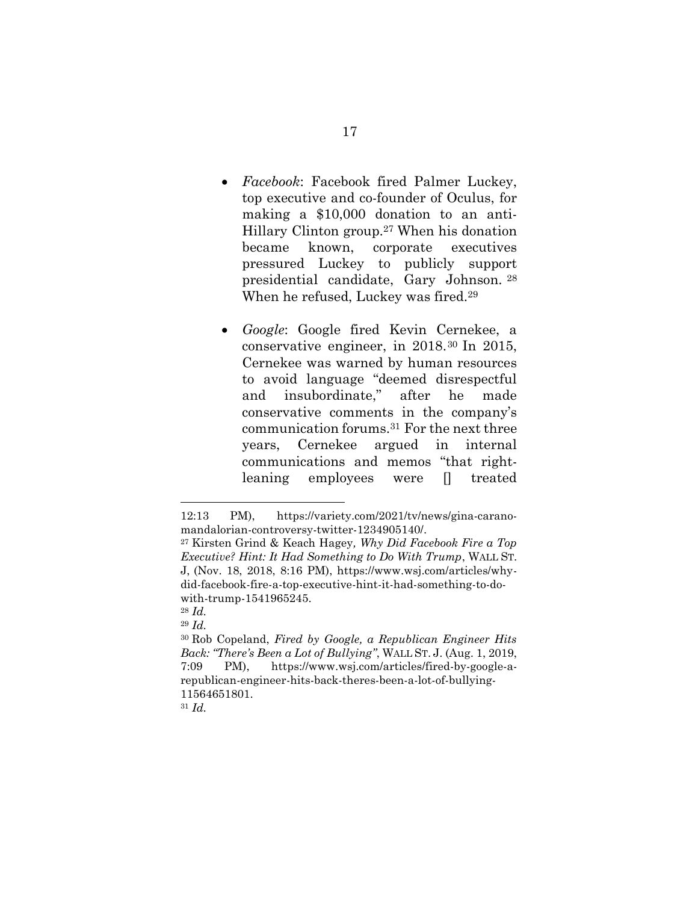- *Facebook*: Facebook fired Palmer Luckey, top executive and co-founder of Oculus, for making a \$10,000 donation to an anti-Hillary Clinton group.<sup>27</sup> When his donation became known, corporate executives pressured Luckey to publicly support presidential candidate, Gary Johnson. <sup>28</sup> When he refused, Luckey was fired.<sup>29</sup>
- *Google*: Google fired Kevin Cernekee, a conservative engineer, in 2018. <sup>30</sup> In 2015, Cernekee was warned by human resources to avoid language "deemed disrespectful and insubordinate," after he made conservative comments in the company's communication forums.<sup>31</sup> For the next three years, Cernekee argued in internal communications and memos "that rightleaning employees were [] treated

<sup>12:13</sup> PM), https://variety.com/2021/tv/news/gina-caranomandalorian-controversy-twitter-1234905140/.

<sup>27</sup> Kirsten Grind & Keach Hagey*, Why Did Facebook Fire a Top Executive? Hint: It Had Something to Do With Trump*, WALL ST. J, (Nov. 18, 2018, 8:16 PM), https://www.wsj.com/articles/whydid-facebook-fire-a-top-executive-hint-it-had-something-to-dowith-trump-1541965245.

<sup>28</sup> *Id.* 

<sup>29</sup> *Id.*

<sup>30</sup> Rob Copeland, *Fired by Google, a Republican Engineer Hits Back: "There's Been a Lot of Bullying"*, WALL ST. J. (Aug. 1, 2019, 7:09 PM), https://www.wsj.com/articles/fired-by-google-arepublican-engineer-hits-back-theres-been-a-lot-of-bullying-11564651801.

<sup>31</sup> *Id.*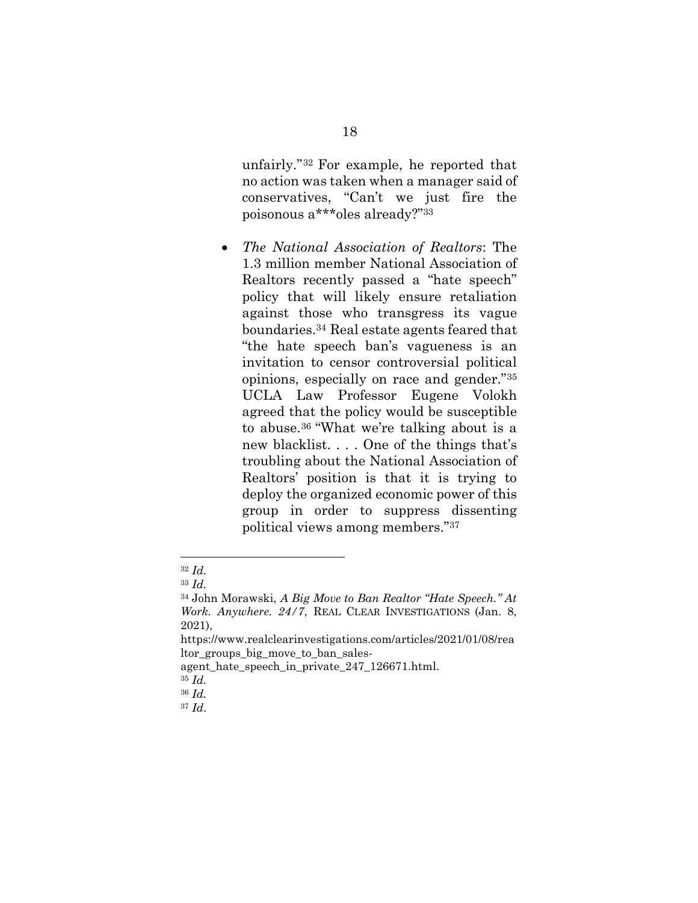unfairly." <sup>32</sup> For example, he reported that no action was taken when a manager said of conservatives, "Can't we just fire the poisonous a\*\*\*oles already?"<sup>33</sup>

 *The National Association of Realtors*: The 1.3 million member National Association of Realtors recently passed a "hate speech" policy that will likely ensure retaliation against those who transgress its vague boundaries.<sup>34</sup> Real estate agents feared that "the hate speech ban's vagueness is an invitation to censor controversial political opinions, especially on race and gender."<sup>35</sup> UCLA Law Professor Eugene Volokh agreed that the policy would be susceptible to abuse.<sup>36</sup> "What we're talking about is a new blacklist. . . . One of the things that's troubling about the National Association of Realtors' position is that it is trying to deploy the organized economic power of this group in order to suppress dissenting political views among members."<sup>37</sup>

<sup>32</sup> *Id.*

<sup>33</sup> *Id.*

<sup>34</sup> John Morawski, *A Big Move to Ban Realtor "Hate Speech." At Work. Anywhere. 24/7*, REAL CLEAR INVESTIGATIONS (Jan. 8, 2021),

https://www.realclearinvestigations.com/articles/2021/01/08/rea ltor groups big move to ban sales-

agent\_hate\_speech\_in\_private\_247\_126671.html.

<sup>35</sup> *Id.*

<sup>36</sup> *Id.*

<sup>37</sup> *Id*.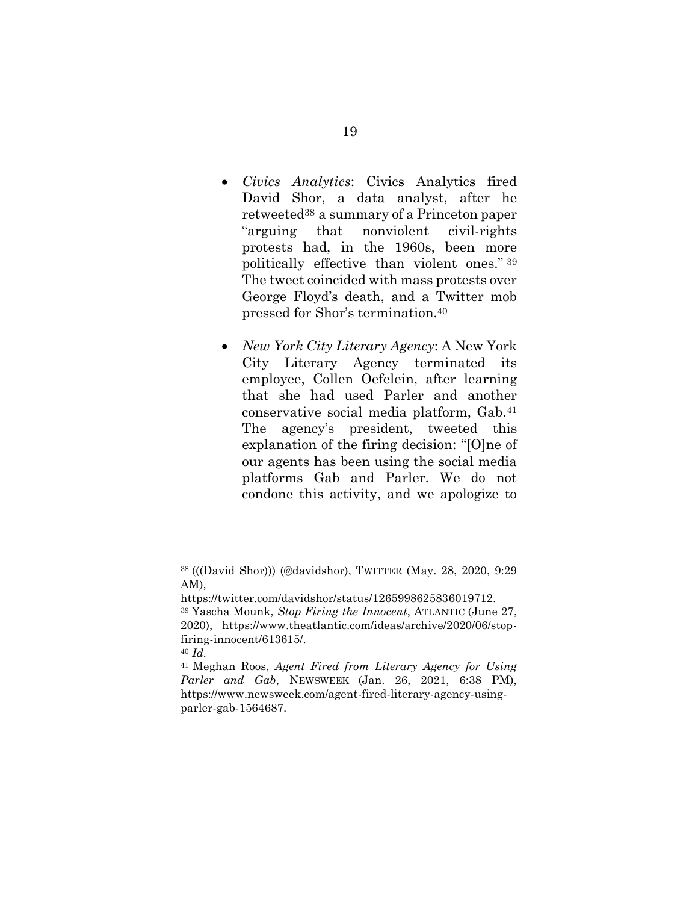- *Civics Analytics*: Civics Analytics fired David Shor, a data analyst, after he retweeted<sup>38</sup> a summary of a Princeton paper "arguing that nonviolent civil-rights protests had, in the 1960s, been more politically effective than violent ones." <sup>39</sup> The tweet coincided with mass protests over George Floyd's death, and a Twitter mob pressed for Shor's termination.<sup>40</sup>
- *New York City Literary Agency*: A New York City Literary Agency terminated its employee, Collen Oefelein, after learning that she had used Parler and another conservative social media platform, Gab.<sup>41</sup> The agency's president, tweeted this explanation of the firing decision: "[O]ne of our agents has been using the social media platforms Gab and Parler. We do not condone this activity, and we apologize to

<sup>38</sup> (((David Shor))) (@davidshor), TWITTER (May. 28, 2020, 9:29 AM),

https://twitter.com/davidshor/status/1265998625836019712.

<sup>39</sup> Yascha Mounk, *Stop Firing the Innocent*, ATLANTIC (June 27, 2020), https://www.theatlantic.com/ideas/archive/2020/06/stopfiring-innocent/613615/.

<sup>40</sup> *Id.*

<sup>41</sup> Meghan Roos, *Agent Fired from Literary Agency for Using Parler and Gab*, NEWSWEEK (Jan. 26, 2021, 6:38 PM), https://www.newsweek.com/agent-fired-literary-agency-usingparler-gab-1564687.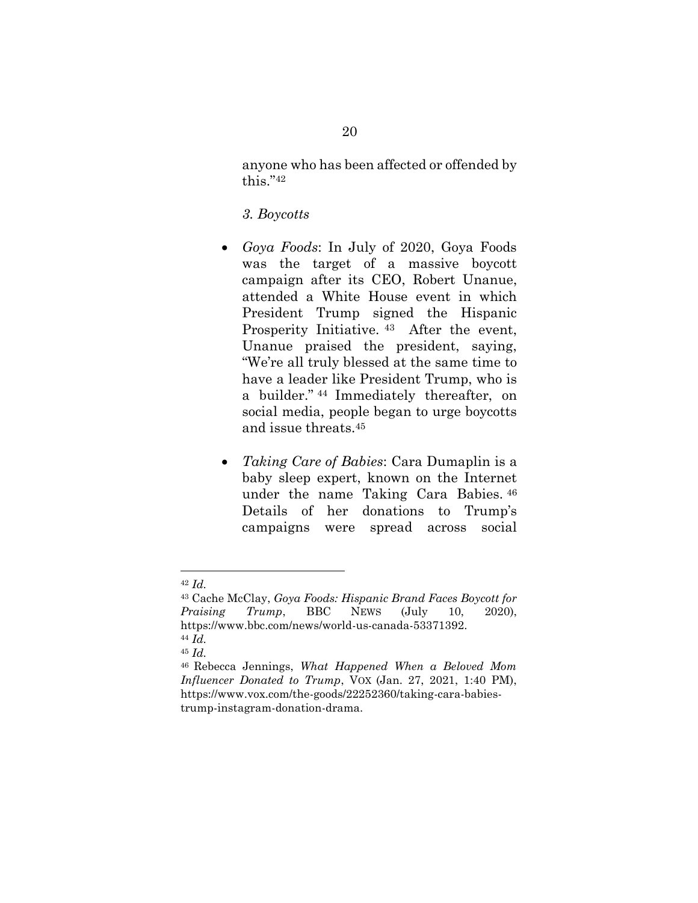anyone who has been affected or offended by this."<sup>42</sup>

### <span id="page-25-0"></span>*3. Boycotts*

- *Goya Foods*: In July of 2020, Goya Foods was the target of a massive boycott campaign after its CEO, Robert Unanue, attended a White House event in which President Trump signed the Hispanic Prosperity Initiative.  $43$  After the event, Unanue praised the president, saying, "We're all truly blessed at the same time to have a leader like President Trump, who is a builder." <sup>44</sup> Immediately thereafter, on social media, people began to urge boycotts and issue threats.<sup>45</sup>
- *Taking Care of Babies*: Cara Dumaplin is a baby sleep expert, known on the Internet under the name Taking Cara Babies. <sup>46</sup> Details of her donations to Trump's campaigns were spread across social

<sup>42</sup> *Id.*

<sup>43</sup> Cache McClay, *Goya Foods: Hispanic Brand Faces Boycott for Praising Trump*, BBC NEWS (July 10, 2020), https://www.bbc.com/news/world-us-canada-53371392. <sup>44</sup> *Id.*

<sup>45</sup> *Id.*

<sup>46</sup> Rebecca Jennings, *What Happened When a Beloved Mom Influencer Donated to Trump*, VOX (Jan. 27, 2021, 1:40 PM), https://www.vox.com/the-goods/22252360/taking-cara-babiestrump-instagram-donation-drama.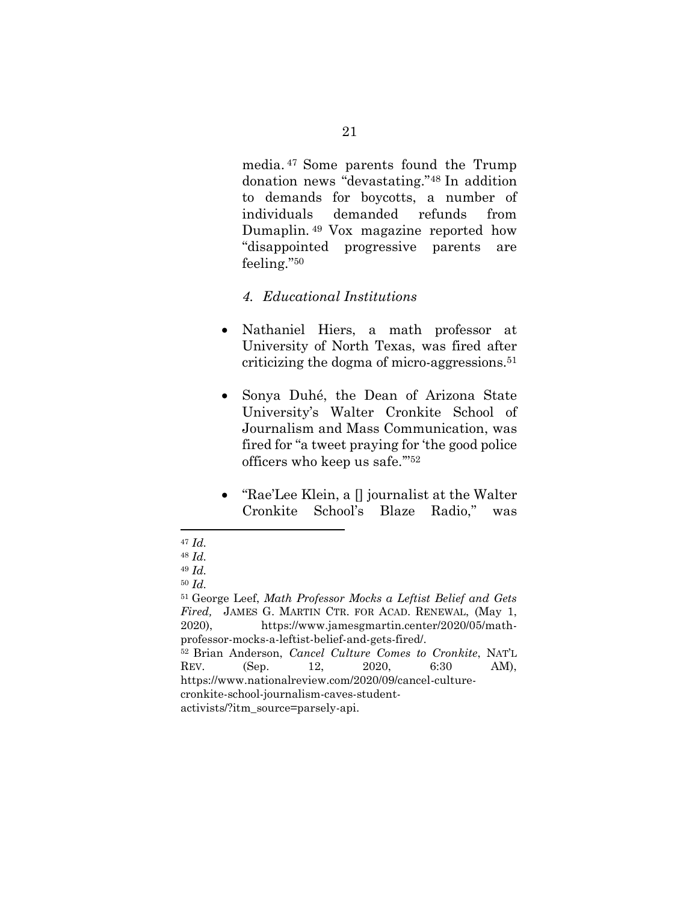media. <sup>47</sup> Some parents found the Trump donation news "devastating."<sup>48</sup> In addition to demands for boycotts, a number of individuals demanded refunds from Dumaplin. <sup>49</sup> Vox magazine reported how "disappointed progressive parents are feeling."<sup>50</sup>

## *4. Educational Institutions*

- Nathaniel Hiers, a math professor at University of North Texas, was fired after criticizing the dogma of micro-aggressions. 51
- Sonya Duhé, the Dean of Arizona State University's Walter Cronkite School of Journalism and Mass Communication, was fired for "a tweet praying for 'the good police officers who keep us safe.'" 52
- "Rae'Lee Klein, a  $\parallel$  journalist at the Walter Cronkite School's Blaze Radio," was

<sup>47</sup> *Id.*

<sup>48</sup> *Id.*

<sup>49</sup> *Id.* 

<sup>50</sup> *Id.*

<sup>51</sup> George Leef, *Math Professor Mocks a Leftist Belief and Gets Fired,* JAMES G. MARTIN CTR. FOR ACAD. RENEWAL, (May 1, 2020), https://www.jamesgmartin.center/2020/05/mathprofessor-mocks-a-leftist-belief-and-gets-fired/. <sup>52</sup> Brian Anderson, *Cancel Culture Comes to Cronkite*, NAT'L REV. (Sep. 12, 2020, 6:30 AM), https://www.nationalreview.com/2020/09/cancel-culturecronkite-school-journalism-caves-student-

activists/?itm\_source=parsely-api.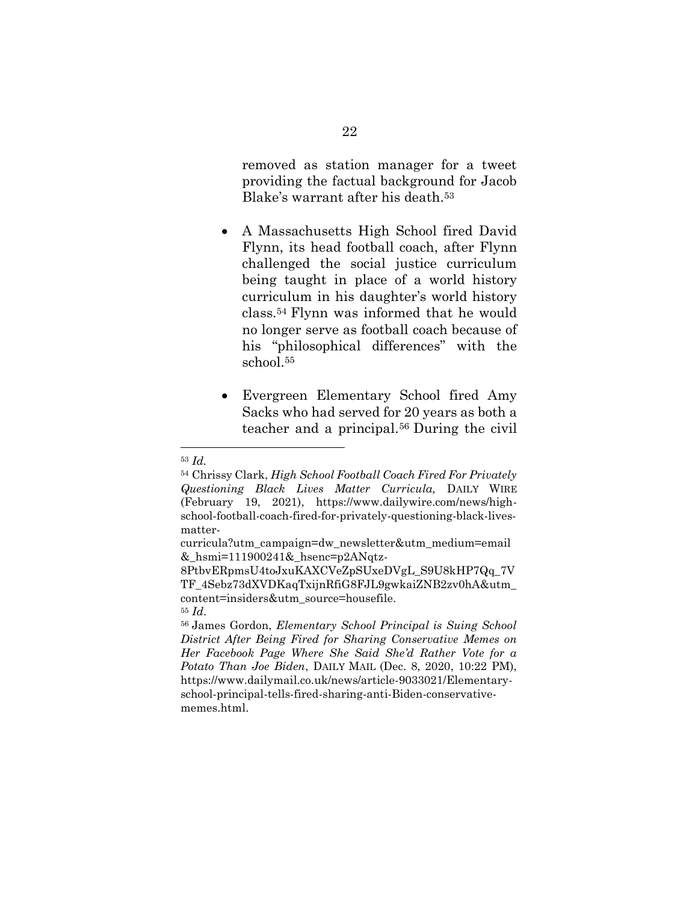removed as station manager for a tweet providing the factual background for Jacob Blake's warrant after his death.<sup>53</sup>

- A Massachusetts High School fired David Flynn, its head football coach, after Flynn challenged the social justice curriculum being taught in place of a world history curriculum in his daughter's world history class.<sup>54</sup> Flynn was informed that he would no longer serve as football coach because of his "philosophical differences" with the school.<sup>55</sup>
- Evergreen Elementary School fired Amy Sacks who had served for 20 years as both a teacher and a principal. <sup>56</sup> During the civil

<sup>53</sup> *Id.* 

<sup>54</sup> Chrissy Clark, *High School Football Coach Fired For Privately Questioning Black Lives Matter Curricula,* DAILY WIRE (February 19, 2021), https://www.dailywire.com/news/highschool-football-coach-fired-for-privately-questioning-black-livesmatter-

curricula?utm\_campaign=dw\_newsletter&utm\_medium=email &\_hsmi=111900241&\_hsenc=p2ANqtz-

<sup>8</sup>PtbvERpmsU4toJxuKAXCVeZpSUxeDVgL\_S9U8kHP7Qq\_7V TF\_4Sebz73dXVDKaqTxijnRfiG8FJL9gwkaiZNB2zv0hA&utm\_ content=insiders&utm\_source=housefile.

<sup>55</sup> *Id*.

<sup>56</sup> James Gordon, *Elementary School Principal is Suing School District After Being Fired for Sharing Conservative Memes on Her Facebook Page Where She Said She'd Rather Vote for a Potato Than Joe Biden*, DAILY MAIL (Dec. 8, 2020, 10:22 PM), https://www.dailymail.co.uk/news/article-9033021/Elementaryschool-principal-tells-fired-sharing-anti-Biden-conservativememes.html.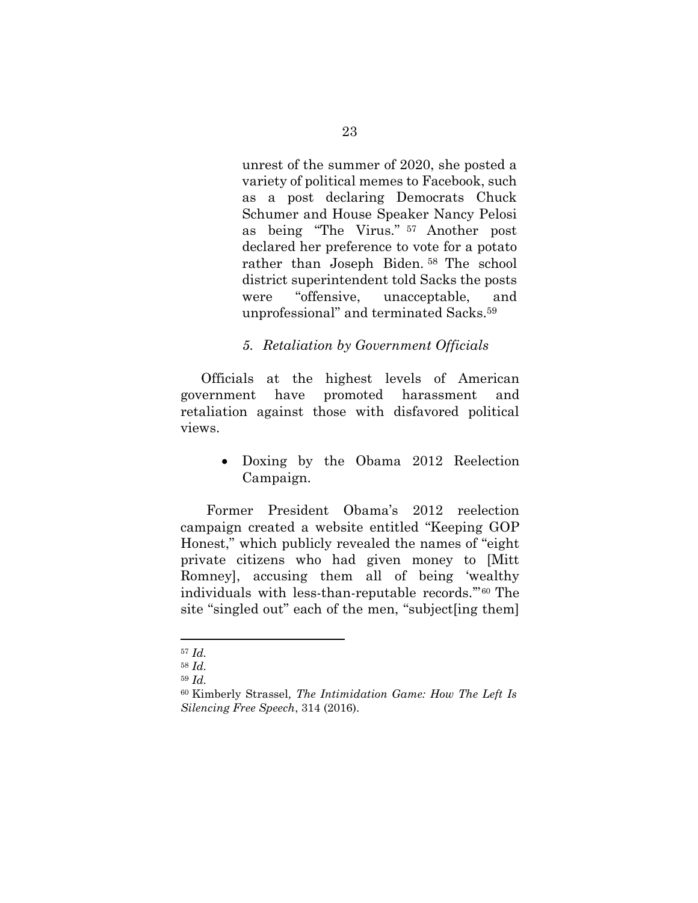unrest of the summer of 2020, she posted a variety of political memes to Facebook, such as a post declaring Democrats Chuck Schumer and House Speaker Nancy Pelosi as being "The Virus." <sup>57</sup> Another post declared her preference to vote for a potato rather than Joseph Biden. <sup>58</sup> The school district superintendent told Sacks the posts were "offensive, unacceptable, and unprofessional" and terminated Sacks. 59

### *5. Retaliation by Government Officials*

Officials at the highest levels of American government have promoted harassment and retaliation against those with disfavored political views.

> • Doxing by the Obama 2012 Reelection Campaign.

Former President Obama's 2012 reelection campaign created a website entitled "Keeping GOP Honest," which publicly revealed the names of "eight private citizens who had given money to [Mitt Romney], accusing them all of being 'wealthy individuals with less-than-reputable records.'" <sup>60</sup> The site "singled out" each of the men, "subject[ing them]

l

<sup>57</sup> *Id.*

<sup>58</sup> *Id.*

<sup>59</sup> *Id.*

<sup>60</sup> Kimberly Strassel*, The Intimidation Game: How The Left Is Silencing Free Speech*, 314 (2016).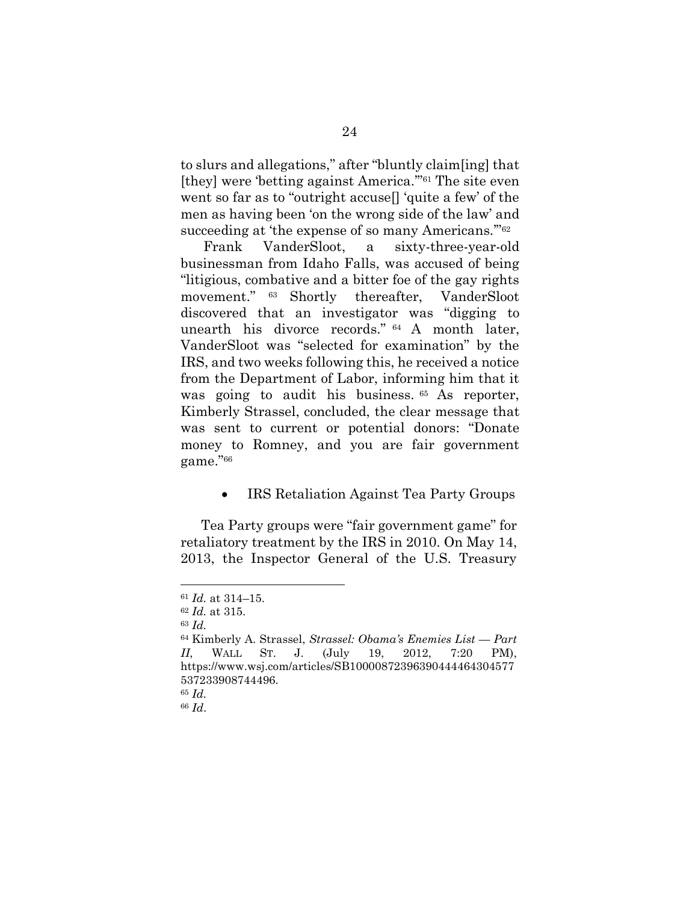to slurs and allegations," after "bluntly claim[ing] that [they] were 'betting against America.'"<sup>61</sup> The site even went so far as to "outright accuse[] 'quite a few' of the men as having been 'on the wrong side of the law' and succeeding at 'the expense of so many Americans."<sup>62</sup>

Frank VanderSloot, a sixty-three-year-old businessman from Idaho Falls, was accused of being "litigious, combative and a bitter foe of the gay rights movement." 63 Shortly thereafter, VanderSloot discovered that an investigator was "digging to unearth his divorce records." <sup>64</sup> A month later, VanderSloot was "selected for examination" by the IRS, and two weeks following this, he received a notice from the Department of Labor, informing him that it was going to audit his business. <sup>65</sup> As reporter, Kimberly Strassel, concluded, the clear message that was sent to current or potential donors: "Donate money to Romney, and you are fair government game."<sup>66</sup>

• IRS Retaliation Against Tea Party Groups

Tea Party groups were "fair government game" for retaliatory treatment by the IRS in 2010. On May 14, 2013, the Inspector General of the U.S. Treasury

<sup>61</sup> *Id.* at 314–15.

<sup>62</sup> *Id.* at 315.

<sup>63</sup> *Id.*

<sup>64</sup> Kimberly A. Strassel, *Strassel: Obama's Enemies List — Part II*, WALL ST. J. (July 19, 2012, 7:20 PM), https://www.wsj.com/articles/SB10000872396390444464304577 537233908744496.

<sup>65</sup> *Id.*

<sup>66</sup> *Id*.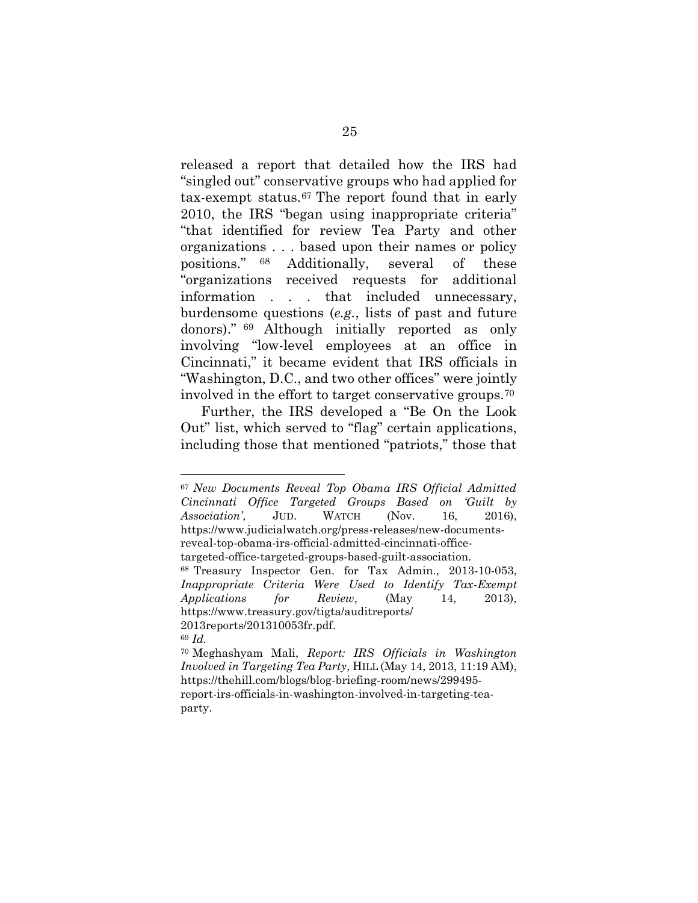released a report that detailed how the IRS had "singled out" conservative groups who had applied for tax-exempt status.<sup>67</sup> The report found that in early 2010, the IRS "began using inappropriate criteria" "that identified for review Tea Party and other organizations . . . based upon their names or policy positions." <sup>68</sup> Additionally, several of these "organizations received requests for additional information . . . that included unnecessary, burdensome questions (*e.g.*, lists of past and future donors)." <sup>69</sup> Although initially reported as only involving "low-level employees at an office in Cincinnati," it became evident that IRS officials in "Washington, D.C., and two other offices" were jointly involved in the effort to target conservative groups.<sup>70</sup>

Further, the IRS developed a "Be On the Look Out" list, which served to "flag" certain applications, including those that mentioned "patriots," those that

<sup>67</sup> *New Documents Reveal Top Obama IRS Official Admitted Cincinnati Office Targeted Groups Based on 'Guilt by Association'*, JUD. WATCH (Nov. 16, 2016), https://www.judicialwatch.org/press-releases/new-documentsreveal-top-obama-irs-official-admitted-cincinnati-officetargeted-office-targeted-groups-based-guilt-association.

<sup>68</sup> Treasury Inspector Gen. for Tax Admin., 2013-10-053, *Inappropriate Criteria Were Used to Identify Tax-Exempt Applications for Review*, (May 14, 2013), https://www.treasury.gov/tigta/auditreports/ 2013reports/201310053fr.pdf.

<sup>69</sup> *Id.*

<sup>70</sup> Meghashyam Mali, *Report: IRS Officials in Washington Involved in Targeting Tea Party*, HILL (May 14, 2013, 11:19 AM), https://thehill.com/blogs/blog-briefing-room/news/299495 report-irs-officials-in-washington-involved-in-targeting-teaparty.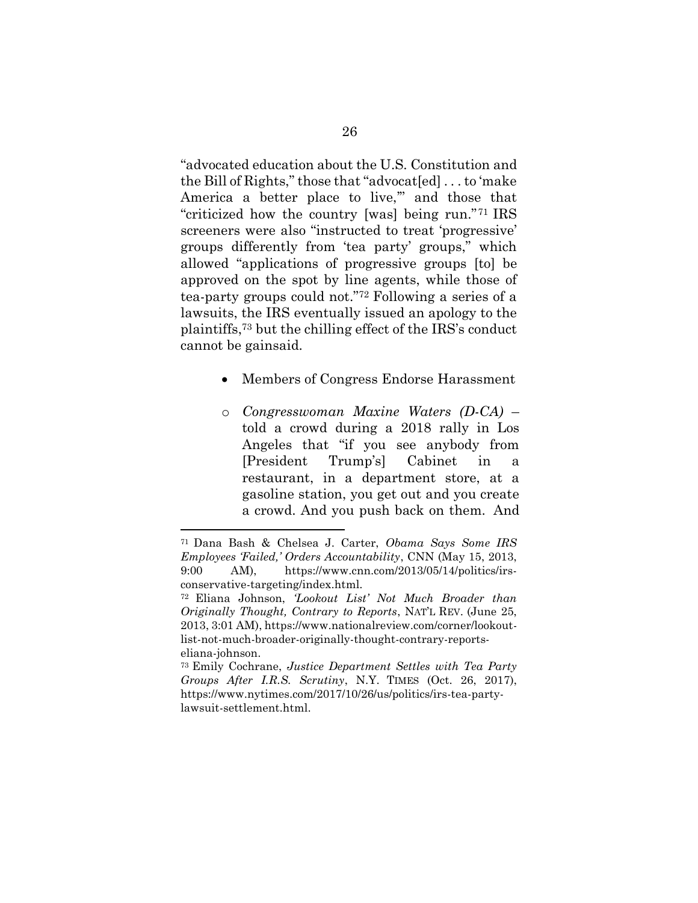"advocated education about the U.S. Constitution and the Bill of Rights," those that "advocat[ed] . . . to 'make America a better place to live," and those that "criticized how the country [was] being run."<sup>71</sup> IRS screeners were also "instructed to treat 'progressive' groups differently from 'tea party' groups," which allowed "applications of progressive groups [to] be approved on the spot by line agents, while those of tea-party groups could not."<sup>72</sup> Following a series of a lawsuits, the IRS eventually issued an apology to the plaintiffs, <sup>73</sup> but the chilling effect of the IRS's conduct cannot be gainsaid.

- Members of Congress Endorse Harassment
- o *Congresswoman Maxine Waters (D-CA)* told a crowd during a 2018 rally in Los Angeles that "if you see anybody from [President Trump's] Cabinet in a restaurant, in a department store, at a gasoline station, you get out and you create a crowd. And you push back on them. And

<sup>71</sup> Dana Bash & Chelsea J. Carter, *Obama Says Some IRS Employees 'Failed,' Orders Accountability*, CNN (May 15, 2013, 9:00 AM), https://www.cnn.com/2013/05/14/politics/irsconservative-targeting/index.html.

<sup>72</sup> Eliana Johnson, *'Lookout List' Not Much Broader than Originally Thought, Contrary to Reports*, NAT'L REV. (June 25, 2013, 3:01 AM), https://www.nationalreview.com/corner/lookoutlist-not-much-broader-originally-thought-contrary-reportseliana-johnson.

<sup>73</sup> Emily Cochrane, *Justice Department Settles with Tea Party Groups After I.R.S. Scrutiny*, N.Y. TIMES (Oct. 26, 2017), https://www.nytimes.com/2017/10/26/us/politics/irs-tea-partylawsuit-settlement.html.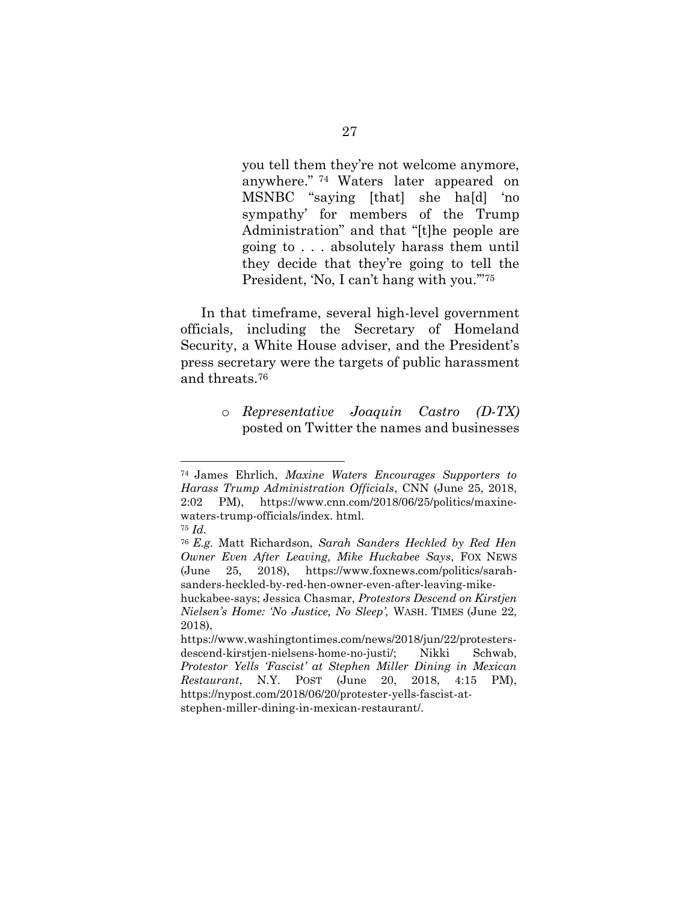you tell them they're not welcome anymore, anywhere." <sup>74</sup> Waters later appeared on MSNBC "saying [that] she ha[d] 'no sympathy' for members of the Trump Administration" and that "[t]he people are going to . . . absolutely harass them until they decide that they're going to tell the President, 'No, I can't hang with you."<sup>75</sup>

In that timeframe, several high-level government officials, including the Secretary of Homeland Security, a White House adviser, and the President's press secretary were the targets of public harassment and threats.<sup>76</sup>

> o *Representative Joaquin Castro (D-TX)* posted on Twitter the names and businesses

<sup>74</sup> James Ehrlich, *Maxine Waters Encourages Supporters to Harass Trump Administration Officials*, CNN (June 25, 2018, 2:02 PM), https://www.cnn.com/2018/06/25/politics/maxinewaters-trump-officials/index. html.

<sup>75</sup> *Id.*

<sup>76</sup> *E.g.* Matt Richardson, *Sarah Sanders Heckled by Red Hen Owner Even After Leaving, Mike Huckabee Says*, FOX NEWS (June 25, 2018), https://www.foxnews.com/politics/sarahsanders-heckled-by-red-hen-owner-even-after-leaving-mike-

huckabee-says; Jessica Chasmar, *Protestors Descend on Kirstjen Nielsen's Home: 'No Justice, No Sleep',* WASH. TIMES (June 22, 2018),

https://www.washingtontimes.com/news/2018/jun/22/protestersdescend-kirstjen-nielsens-home-no-justi/; Nikki Schwab, *Protestor Yells 'Fascist' at Stephen Miller Dining in Mexican Restaurant*, N.Y. POST (June 20, 2018, 4:15 PM), https://nypost.com/2018/06/20/protester-yells-fascist-atstephen-miller-dining-in-mexican-restaurant/.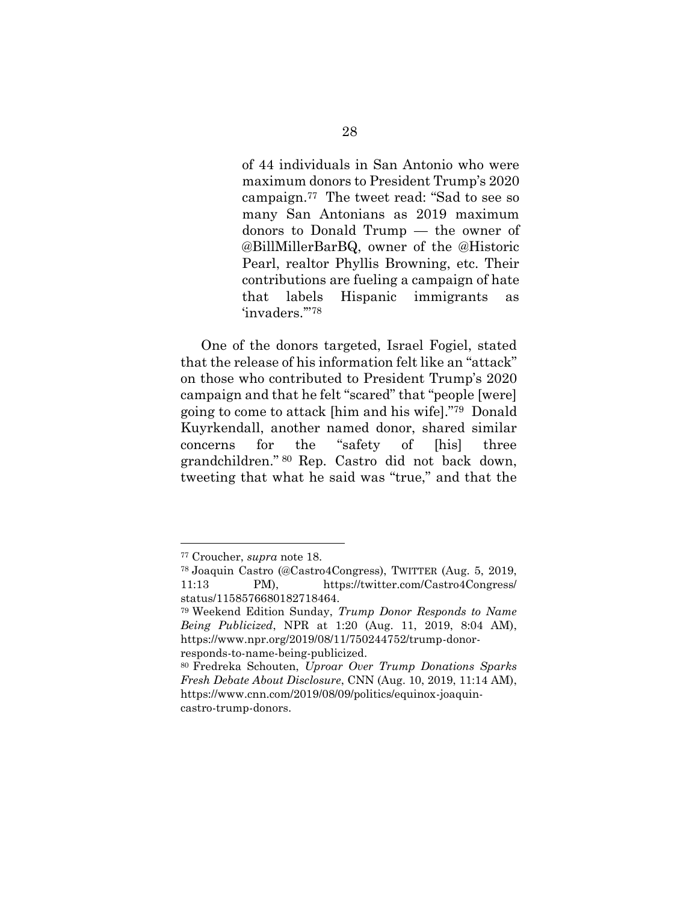of 44 individuals in San Antonio who were maximum donors to President Trump's 2020 campaign.<sup>77</sup> The tweet read: "Sad to see so many San Antonians as 2019 maximum donors to Donald Trump — the owner of @BillMillerBarBQ, owner of the @Historic Pearl, realtor Phyllis Browning, etc. Their contributions are fueling a campaign of hate that labels Hispanic immigrants as 'invaders.'"<sup>78</sup>

One of the donors targeted, Israel Fogiel, stated that the release of his information felt like an "attack" on those who contributed to President Trump's 2020 campaign and that he felt "scared" that "people [were] going to come to attack [him and his wife]."79 Donald Kuyrkendall, another named donor, shared similar concerns for the "safety of [his] three grandchildren." <sup>80</sup> Rep. Castro did not back down, tweeting that what he said was "true," and that the

<sup>77</sup> Croucher, *supra* not[e 18.](#page-20-1)

<sup>78</sup> Joaquin Castro (@Castro4Congress), TWITTER (Aug. 5, 2019, 11:13 PM), https://twitter.com/Castro4Congress/ status/1158576680182718464.

<sup>79</sup> Weekend Edition Sunday, *Trump Donor Responds to Name Being Publicized*, NPR at 1:20 (Aug. 11, 2019, 8:04 AM), https://www.npr.org/2019/08/11/750244752/trump-donorresponds-to-name-being-publicized.

<sup>80</sup> Fredreka Schouten, *Uproar Over Trump Donations Sparks Fresh Debate About Disclosure*, CNN (Aug. 10, 2019, 11:14 AM), https://www.cnn.com/2019/08/09/politics/equinox-joaquincastro-trump-donors.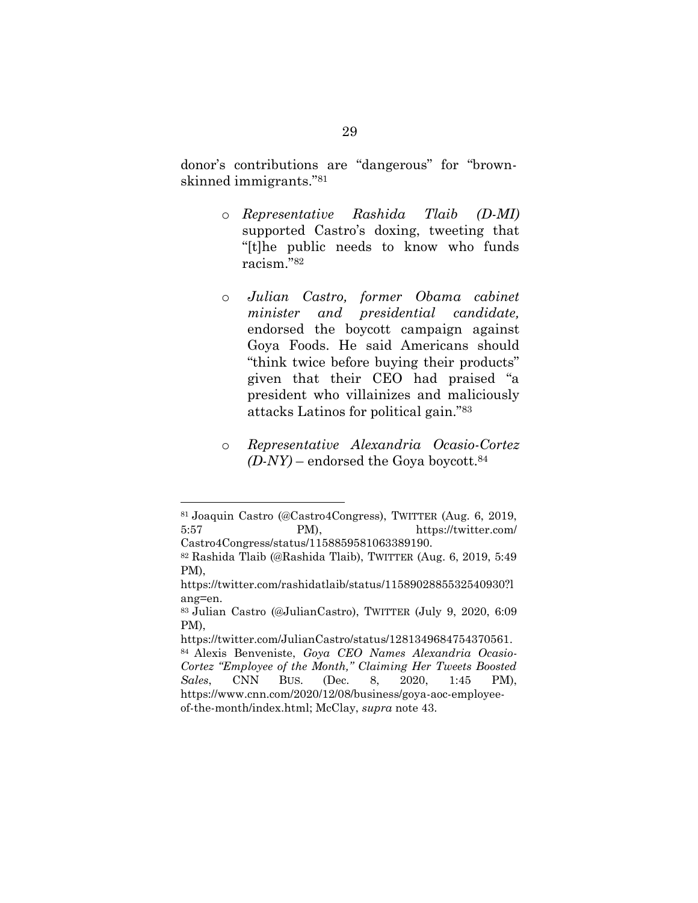donor's contributions are "dangerous" for "brownskinned immigrants."<sup>81</sup>

- o *Representative Rashida Tlaib (D-MI)* supported Castro's doxing, tweeting that "[t]he public needs to know who funds racism."<sup>82</sup>
- o *Julian Castro, former Obama cabinet minister and presidential candidate,* endorsed the boycott campaign against Goya Foods. He said Americans should "think twice before buying their products" given that their CEO had praised "a president who villainizes and maliciously attacks Latinos for political gain."<sup>83</sup>
- o *Representative Alexandria Ocasio-Cortez*  $(D-NY)$  – endorsed the Goya boycott.<sup>84</sup>

<sup>81</sup> Joaquin Castro (@Castro4Congress), TWITTER (Aug. 6, 2019, 5:57 PM), https://twitter.com/ Castro4Congress/status/1158859581063389190.

<sup>82</sup> Rashida Tlaib (@Rashida Tlaib), TWITTER (Aug. 6, 2019, 5:49 PM),

https://twitter.com/rashidatlaib/status/1158902885532540930?l ang=en.

<sup>83</sup> Julian Castro (@JulianCastro), TWITTER (July 9, 2020, 6:09 PM),

https://twitter.com/JulianCastro/status/1281349684754370561. <sup>84</sup> Alexis Benveniste, *Goya CEO Names Alexandria Ocasio-Cortez "Employee of the Month," Claiming Her Tweets Boosted Sales*, CNN BUS. (Dec. 8, 2020, 1:45 PM), https://www.cnn.com/2020/12/08/business/goya-aoc-employeeof-the-month/index.html; McClay, *supra* note [43.](#page-25-0)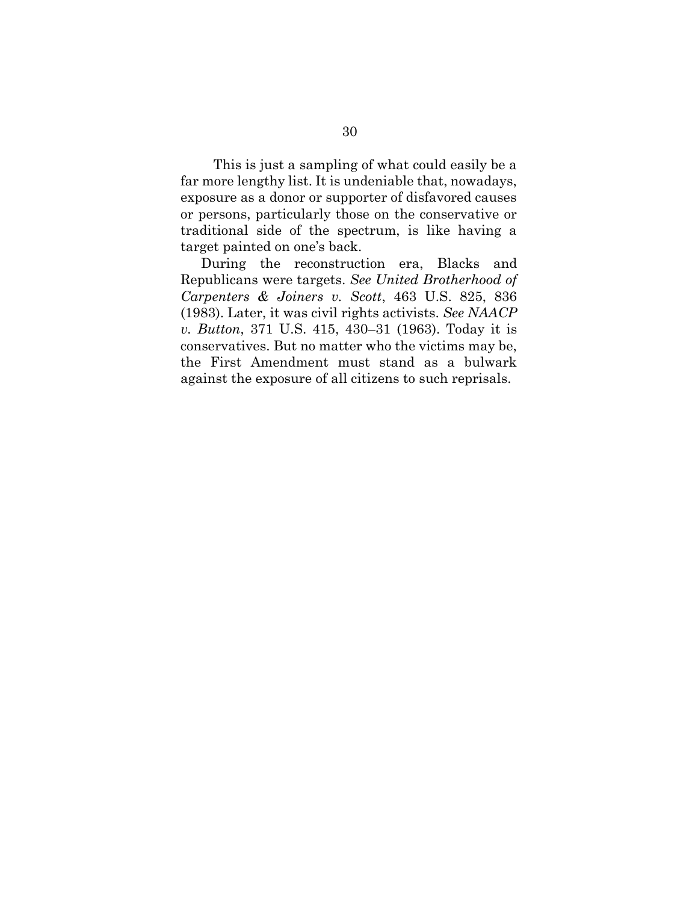This is just a sampling of what could easily be a far more lengthy list. It is undeniable that, nowadays, exposure as a donor or supporter of disfavored causes or persons, particularly those on the conservative or traditional side of the spectrum, is like having a target painted on one's back.

During the reconstruction era, Blacks and Republicans were targets. *See United Brotherhood of Carpenters & Joiners v. Scott*, 463 U.S. 825, 836 (1983). Later, it was civil rights activists. *See NAACP v. Button*, 371 U.S. 415, 430–31 (1963). Today it is conservatives. But no matter who the victims may be, the First Amendment must stand as a bulwark against the exposure of all citizens to such reprisals.